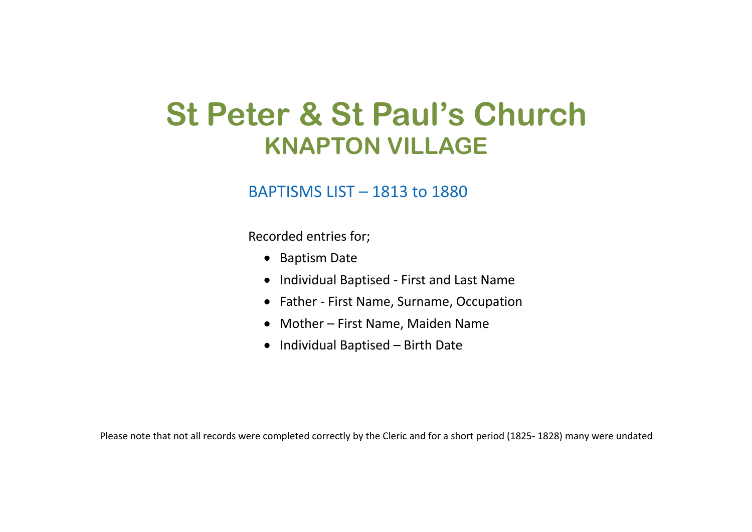## **St Peter & St Paul's Church KNAPTON VILLAGE**

## BAPTISMS LIST – 1813 to 1880

Recorded entries for;

- Baptism Date
- Individual Baptised First and Last Name
- Father First Name, Surname, Occupation
- Mother First Name, Maiden Name
- Individual Baptised Birth Date

Please note that not all records were completed correctly by the Cleric and for a short period (1825- 1828) many were undated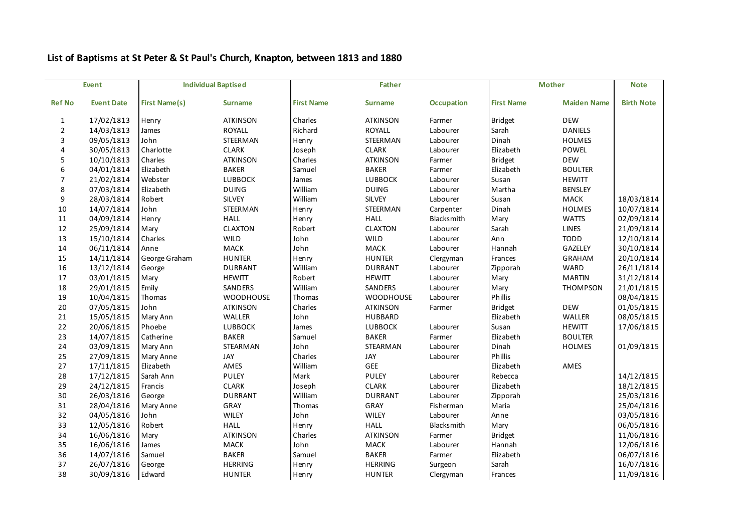## **List of Baptisms at St Peter & St Paul's Church, Knapton, between 1813 and 1880**

|               | <b>Event</b>      |                      | <b>Individual Baptised</b> |                   | <b>Father</b>    |                   |                   | <b>Mother</b>      | <b>Note</b>       |
|---------------|-------------------|----------------------|----------------------------|-------------------|------------------|-------------------|-------------------|--------------------|-------------------|
| <b>Ref No</b> | <b>Event Date</b> | <b>First Name(s)</b> | <b>Surname</b>             | <b>First Name</b> | <b>Surname</b>   | <b>Occupation</b> | <b>First Name</b> | <b>Maiden Name</b> | <b>Birth Note</b> |
| $\mathbf{1}$  | 17/02/1813        | Henry                | <b>ATKINSON</b>            | Charles           | <b>ATKINSON</b>  | Farmer            | <b>Bridget</b>    | <b>DEW</b>         |                   |
| 2             | 14/03/1813        | James                | ROYALL                     | Richard           | <b>ROYALL</b>    | Labourer          | Sarah             | <b>DANIELS</b>     |                   |
| 3             | 09/05/1813        | John                 | STEERMAN                   | Henry             | STEERMAN         | Labourer          | Dinah             | <b>HOLMES</b>      |                   |
| 4             | 30/05/1813        | Charlotte            | <b>CLARK</b>               | Joseph            | <b>CLARK</b>     | Labourer          | Elizabeth         | POWEL              |                   |
| 5             | 10/10/1813        | Charles              | <b>ATKINSON</b>            | Charles           | <b>ATKINSON</b>  | Farmer            | <b>Bridget</b>    | <b>DEW</b>         |                   |
| 6             | 04/01/1814        | Elizabeth            | <b>BAKER</b>               | Samuel            | <b>BAKER</b>     | Farmer            | Elizabeth         | <b>BOULTER</b>     |                   |
| 7             | 21/02/1814        | Webster              | <b>LUBBOCK</b>             | James             | <b>LUBBOCK</b>   | Labourer          | Susan             | <b>HEWITT</b>      |                   |
| 8             | 07/03/1814        | Elizabeth            | <b>DUING</b>               | William           | <b>DUING</b>     | Labourer          | Martha            | <b>BENSLEY</b>     |                   |
| 9             | 28/03/1814        | Robert               | <b>SILVEY</b>              | William           | <b>SILVEY</b>    | Labourer          | Susan             | <b>MACK</b>        | 18/03/1814        |
| 10            | 14/07/1814        | John                 | STEERMAN                   | Henry             | STEERMAN         | Carpenter         | Dinah             | <b>HOLMES</b>      | 10/07/1814        |
| 11            | 04/09/1814        | Henry                | <b>HALL</b>                | Henry             | <b>HALL</b>      | Blacksmith        | Mary              | <b>WATTS</b>       | 02/09/1814        |
| 12            | 25/09/1814        | Mary                 | <b>CLAXTON</b>             | Robert            | <b>CLAXTON</b>   | Labourer          | Sarah             | <b>LINES</b>       | 21/09/1814        |
| 13            | 15/10/1814        | Charles              | WILD                       | John              | WILD             | Labourer          | Ann               | <b>TODD</b>        | 12/10/1814        |
| 14            | 06/11/1814        | Anne                 | MACK                       | John              | MACK             | Labourer          | Hannah            | <b>GAZELEY</b>     | 30/10/1814        |
| 15            | 14/11/1814        | George Graham        | <b>HUNTER</b>              | Henry             | <b>HUNTER</b>    | Clergyman         | Frances           | GRAHAM             | 20/10/1814        |
| 16            | 13/12/1814        | George               | <b>DURRANT</b>             | William           | <b>DURRANT</b>   | Labourer          | Zipporah          | <b>WARD</b>        | 26/11/1814        |
| 17            | 03/01/1815        | Mary                 | <b>HEWITT</b>              | Robert            | <b>HEWITT</b>    | Labourer          | Mary              | <b>MARTIN</b>      | 31/12/1814        |
| 18            | 29/01/1815        | Emily                | <b>SANDERS</b>             | William           | <b>SANDERS</b>   | Labourer          | Mary              | THOMPSON           | 21/01/1815        |
| 19            | 10/04/1815        | Thomas               | <b>WOODHOUSE</b>           | Thomas            | <b>WOODHOUSE</b> | Labourer          | Phillis           |                    | 08/04/1815        |
| 20            | 07/05/1815        | John                 | <b>ATKINSON</b>            | Charles           | <b>ATKINSON</b>  | Farmer            | <b>Bridget</b>    | <b>DEW</b>         | 01/05/1815        |
| $21\,$        | 15/05/1815        | Mary Ann             | WALLER                     | John              | <b>HUBBARD</b>   |                   | Elizabeth         | WALLER             | 08/05/1815        |
| 22            | 20/06/1815        | Phoebe               | LUBBOCK                    | James             | LUBBOCK          | Labourer          | Susan             | <b>HEWITT</b>      | 17/06/1815        |
| 23            | 14/07/1815        | Catherine            | <b>BAKER</b>               | Samuel            | <b>BAKER</b>     | Farmer            | Elizabeth         | <b>BOULTER</b>     |                   |
| 24            | 03/09/1815        | Mary Ann             | <b>STEARMAN</b>            | John              | <b>STEARMAN</b>  | Labourer          | Dinah             | <b>HOLMES</b>      | 01/09/1815        |
| 25            | 27/09/1815        | Mary Anne            | JAY                        | Charles           | JAY              | Labourer          | Phillis           |                    |                   |
| 27            | 17/11/1815        | Elizabeth            | AMES                       | William           | GEE              |                   | Elizabeth         | AMES               |                   |
| 28            | 17/12/1815        | Sarah Ann            | <b>PULEY</b>               | Mark              | <b>PULEY</b>     | Labourer          | Rebecca           |                    | 14/12/1815        |
| 29            | 24/12/1815        | Francis              | <b>CLARK</b>               | Joseph            | <b>CLARK</b>     | Labourer          | Elizabeth         |                    | 18/12/1815        |
| 30            | 26/03/1816        | George               | <b>DURRANT</b>             | William           | <b>DURRANT</b>   | Labourer          | Zipporah          |                    | 25/03/1816        |
| 31            | 28/04/1816        | Mary Anne            | GRAY                       | Thomas            | GRAY             | Fisherman         | Maria             |                    | 25/04/1816        |
| 32            | 04/05/1816        | John                 | WILEY                      | John              | <b>WILEY</b>     | Labourer          | Anne              |                    | 03/05/1816        |
| 33            | 12/05/1816        | Robert               | <b>HALL</b>                | Henry             | <b>HALL</b>      | <b>Blacksmith</b> | Mary              |                    | 06/05/1816        |
| 34            | 16/06/1816        | Mary                 | <b>ATKINSON</b>            | Charles           | <b>ATKINSON</b>  | Farmer            | <b>Bridget</b>    |                    | 11/06/1816        |
| 35            | 16/06/1816        | James                | MACK                       | John              | MACK             | Labourer          | Hannah            |                    | 12/06/1816        |
| 36            | 14/07/1816        | Samuel               | <b>BAKER</b>               | Samuel            | <b>BAKER</b>     | Farmer            | Elizabeth         |                    | 06/07/1816        |
| 37            | 26/07/1816        | George               | <b>HERRING</b>             | Henry             | <b>HERRING</b>   | Surgeon           | Sarah             |                    | 16/07/1816        |
| 38            | 30/09/1816        | Edward               | <b>HUNTER</b>              | Henry             | <b>HUNTER</b>    | Clergyman         | Frances           |                    | 11/09/1816        |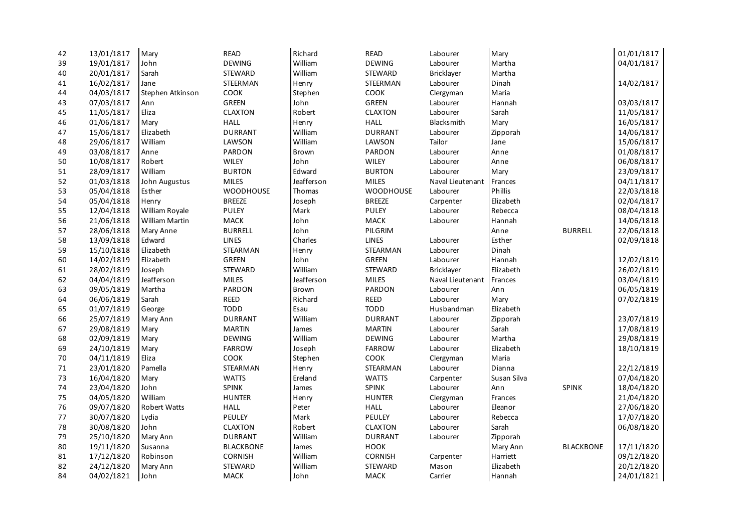| 42     | 13/01/1817 | Mary                | READ             | Richard    | <b>READ</b>    | Labourer         | Mary        |                  | 01/01/1817 |
|--------|------------|---------------------|------------------|------------|----------------|------------------|-------------|------------------|------------|
| 39     | 19/01/1817 | John                | <b>DEWING</b>    | William    | <b>DEWING</b>  | Labourer         | Martha      |                  | 04/01/1817 |
| 40     | 20/01/1817 | Sarah               | <b>STEWARD</b>   | William    | <b>STEWARD</b> | Bricklayer       | Martha      |                  |            |
| 41     | 16/02/1817 | Jane                | STEERMAN         | Henry      | STEERMAN       | Labourer         | Dinah       |                  | 14/02/1817 |
| 44     | 04/03/1817 | Stephen Atkinson    | COOK             | Stephen    | COOK           | Clergyman        | Maria       |                  |            |
| 43     | 07/03/1817 | Ann                 | <b>GREEN</b>     | John       | <b>GREEN</b>   | Labourer         | Hannah      |                  | 03/03/1817 |
| 45     | 11/05/1817 | Eliza               | CLAXTON          | Robert     | <b>CLAXTON</b> | Labourer         | Sarah       |                  | 11/05/1817 |
| 46     | 01/06/1817 | Mary                | <b>HALL</b>      | Henry      | <b>HALL</b>    | Blacksmith       | Mary        |                  | 16/05/1817 |
| 47     | 15/06/1817 | Elizabeth           | <b>DURRANT</b>   | William    | <b>DURRANT</b> | Labourer         | Zipporah    |                  | 14/06/1817 |
| 48     | 29/06/1817 | William             | LAWSON           | William    | LAWSON         | Tailor           | Jane        |                  | 15/06/1817 |
| 49     | 03/08/1817 | Anne                | <b>PARDON</b>    | Brown      | PARDON         | Labourer         | Anne        |                  | 01/08/1817 |
| 50     | 10/08/1817 | Robert              | <b>WILEY</b>     | John       | <b>WILEY</b>   | Labourer         | Anne        |                  | 06/08/1817 |
| 51     | 28/09/1817 | William             | <b>BURTON</b>    | Edward     | <b>BURTON</b>  | Labourer         | Mary        |                  | 23/09/1817 |
| 52     | 01/03/1818 | John Augustus       | <b>MILES</b>     | Jeafferson | <b>MILES</b>   | Naval Lieutenant | Frances     |                  | 04/11/1817 |
| 53     | 05/04/1818 | Esther              | <b>WOODHOUSE</b> | Thomas     | WOODHOUSE      | Labourer         | Phillis     |                  | 22/03/1818 |
| 54     | 05/04/1818 | Henry               | <b>BREEZE</b>    | Joseph     | <b>BREEZE</b>  | Carpenter        | Elizabeth   |                  | 02/04/1817 |
| 55     | 12/04/1818 | William Royale      | <b>PULEY</b>     | Mark       | <b>PULEY</b>   | Labourer         | Rebecca     |                  | 08/04/1818 |
| 56     | 21/06/1818 | William Martin      | <b>MACK</b>      | John       | MACK           | Labourer         | Hannah      |                  | 14/06/1818 |
| 57     | 28/06/1818 | Mary Anne           | <b>BURRELL</b>   | John       | PILGRIM        |                  | Anne        | <b>BURRELL</b>   | 22/06/1818 |
| 58     | 13/09/1818 | Edward              | <b>LINES</b>     | Charles    | <b>LINES</b>   | Labourer         | Esther      |                  | 02/09/1818 |
| 59     | 15/10/1818 | Elizabeth           | STEARMAN         | Henry      | STEARMAN       | Labourer         | Dinah       |                  |            |
| 60     | 14/02/1819 | Elizabeth           | <b>GREEN</b>     | John       | <b>GREEN</b>   | Labourer         | Hannah      |                  | 12/02/1819 |
| 61     | 28/02/1819 | Joseph              | <b>STEWARD</b>   | William    | STEWARD        | Bricklayer       | Elizabeth   |                  | 26/02/1819 |
| 62     | 04/04/1819 | Jeafferson          | <b>MILES</b>     | Jeafferson | <b>MILES</b>   | Naval Lieutenant | Frances     |                  | 03/04/1819 |
| 63     | 09/05/1819 | Martha              | PARDON           | Brown      | PARDON         | Labourer         | Ann         |                  | 06/05/1819 |
| 64     | 06/06/1819 | Sarah               | <b>REED</b>      | Richard    | <b>REED</b>    | Labourer         | Mary        |                  | 07/02/1819 |
| 65     | 01/07/1819 | George              | <b>TODD</b>      | Esau       | <b>TODD</b>    | Husbandman       | Elizabeth   |                  |            |
| 66     | 25/07/1819 | Mary Ann            | <b>DURRANT</b>   | William    | <b>DURRANT</b> | Labourer         | Zipporah    |                  | 23/07/1819 |
| 67     | 29/08/1819 | Mary                | <b>MARTIN</b>    | James      | <b>MARTIN</b>  | Labourer         | Sarah       |                  | 17/08/1819 |
| 68     | 02/09/1819 | Mary                | <b>DEWING</b>    | William    | <b>DEWING</b>  | Labourer         | Martha      |                  | 29/08/1819 |
| 69     | 24/10/1819 | Mary                | <b>FARROW</b>    | Joseph     | <b>FARROW</b>  | Labourer         | Elizabeth   |                  | 18/10/1819 |
| 70     | 04/11/1819 | Eliza               | COOK             | Stephen    | COOK           | Clergyman        | Maria       |                  |            |
| $71\,$ | 23/01/1820 | Pamella             | STEARMAN         | Henry      | STEARMAN       | Labourer         | Dianna      |                  | 22/12/1819 |
| 73     | 16/04/1820 | Mary                | <b>WATTS</b>     | Ereland    | <b>WATTS</b>   | Carpenter        | Susan Silva |                  | 07/04/1820 |
| 74     | 23/04/1820 | John                | <b>SPINK</b>     | James      | <b>SPINK</b>   | Labourer         | Ann         | SPINK            | 18/04/1820 |
| 75     | 04/05/1820 | William             | <b>HUNTER</b>    | Henry      | <b>HUNTER</b>  | Clergyman        | Frances     |                  | 21/04/1820 |
| 76     | 09/07/1820 | <b>Robert Watts</b> | <b>HALL</b>      | Peter      | <b>HALL</b>    | Labourer         | Eleanor     |                  | 27/06/1820 |
| 77     | 30/07/1820 | Lydia               | <b>PEULEY</b>    | Mark       | PEULEY         | Labourer         | Rebecca     |                  | 17/07/1820 |
| 78     | 30/08/1820 | John                | <b>CLAXTON</b>   | Robert     | <b>CLAXTON</b> | Labourer         | Sarah       |                  | 06/08/1820 |
| 79     | 25/10/1820 | Mary Ann            | <b>DURRANT</b>   | William    | <b>DURRANT</b> | Labourer         | Zipporah    |                  |            |
| 80     | 19/11/1820 | Susanna             | <b>BLACKBONE</b> | James      | <b>HOOK</b>    |                  | Mary Ann    | <b>BLACKBONE</b> | 17/11/1820 |
| 81     | 17/12/1820 | Robinson            | <b>CORNISH</b>   | William    | <b>CORNISH</b> | Carpenter        | Harriett    |                  | 09/12/1820 |
| 82     | 24/12/1820 | Mary Ann            | <b>STEWARD</b>   | William    | <b>STEWARD</b> | Mason            | Elizabeth   |                  | 20/12/1820 |
| 84     | 04/02/1821 | John                | <b>MACK</b>      | John       | <b>MACK</b>    | Carrier          | Hannah      |                  | 24/01/1821 |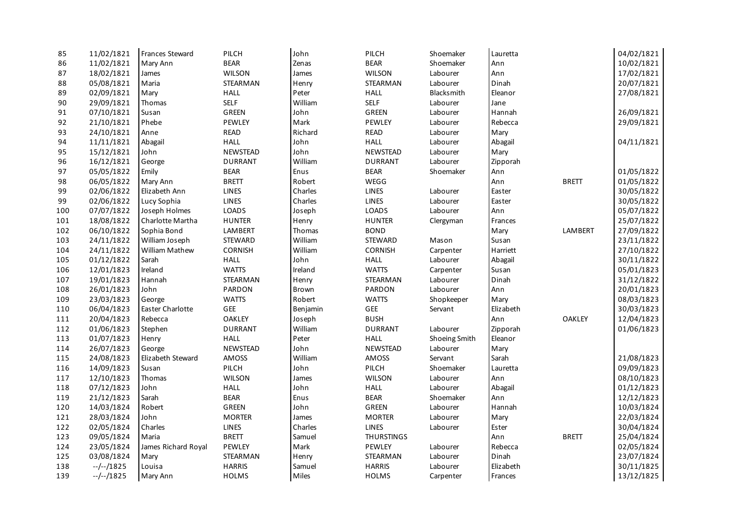| 85  | 11/02/1821 | Frances Steward     | PILCH           | John     | PILCH             | Shoemaker         | Lauretta  |               | 04/02/1821 |
|-----|------------|---------------------|-----------------|----------|-------------------|-------------------|-----------|---------------|------------|
| 86  | 11/02/1821 | Mary Ann            | <b>BEAR</b>     | Zenas    | <b>BEAR</b>       | Shoemaker         | Ann       |               | 10/02/1821 |
| 87  | 18/02/1821 | James               | <b>WILSON</b>   | James    | WILSON            | Labourer          | Ann       |               | 17/02/1821 |
| 88  | 05/08/1821 | Maria               | STEARMAN        | Henry    | <b>STEARMAN</b>   | Labourer          | Dinah     |               | 20/07/1821 |
| 89  | 02/09/1821 | Mary                | <b>HALL</b>     | Peter    | <b>HALL</b>       | <b>Blacksmith</b> | Eleanor   |               | 27/08/1821 |
| 90  | 29/09/1821 | Thomas              | <b>SELF</b>     | William  | <b>SELF</b>       | Labourer          | Jane      |               |            |
| 91  | 07/10/1821 | Susan               | GREEN           | John     | GREEN             | Labourer          | Hannah    |               | 26/09/1821 |
| 92  | 21/10/1821 | Phebe               | PEWLEY          | Mark     | PEWLEY            | Labourer          | Rebecca   |               | 29/09/1821 |
| 93  | 24/10/1821 | Anne                | <b>READ</b>     | Richard  | <b>READ</b>       | Labourer          | Mary      |               |            |
| 94  | 11/11/1821 | Abagail             | <b>HALL</b>     | John     | <b>HALL</b>       | Labourer          | Abagail   |               | 04/11/1821 |
| 95  | 15/12/1821 | John                | <b>NEWSTEAD</b> | John     | <b>NEWSTEAD</b>   | Labourer          | Mary      |               |            |
| 96  | 16/12/1821 | George              | <b>DURRANT</b>  | William  | <b>DURRANT</b>    | Labourer          | Zipporah  |               |            |
| 97  | 05/05/1822 | Emily               | <b>BEAR</b>     | Enus     | <b>BEAR</b>       | Shoemaker         | Ann       |               | 01/05/1822 |
| 98  | 06/05/1822 | Mary Ann            | <b>BRETT</b>    | Robert   | WEGG              |                   | Ann       | <b>BRETT</b>  | 01/05/1822 |
| 99  | 02/06/1822 | Elizabeth Ann       | <b>LINES</b>    | Charles  | LINES             | Labourer          | Easter    |               | 30/05/1822 |
| 99  | 02/06/1822 | Lucy Sophia         | <b>LINES</b>    | Charles  | <b>LINES</b>      | Labourer          | Easter    |               | 30/05/1822 |
| 100 | 07/07/1822 | Joseph Holmes       | LOADS           | Joseph   | LOADS             | Labourer          | Ann       |               | 05/07/1822 |
| 101 | 18/08/1822 | Charlotte Martha    | <b>HUNTER</b>   | Henry    | <b>HUNTER</b>     | Clergyman         | Frances   |               | 25/07/1822 |
| 102 | 06/10/1822 | Sophia Bond         | <b>LAMBERT</b>  | Thomas   | <b>BOND</b>       |                   | Mary      | LAMBERT       | 27/09/1822 |
| 103 | 24/11/1822 | William Joseph      | <b>STEWARD</b>  | William  | <b>STEWARD</b>    | Mason             | Susan     |               | 23/11/1822 |
| 104 | 24/11/1822 | William Mathew      | CORNISH         | William  | <b>CORNISH</b>    | Carpenter         | Harriett  |               | 27/10/1822 |
| 105 | 01/12/1822 | Sarah               | <b>HALL</b>     | John     | <b>HALL</b>       | Labourer          | Abagail   |               | 30/11/1822 |
| 106 | 12/01/1823 | Ireland             | <b>WATTS</b>    | Ireland  | <b>WATTS</b>      | Carpenter         | Susan     |               | 05/01/1823 |
| 107 | 19/01/1823 | Hannah              | STEARMAN        | Henry    | STEARMAN          | Labourer          | Dinah     |               | 31/12/1822 |
| 108 | 26/01/1823 | John                | PARDON          | Brown    | PARDON            | Labourer          | Ann       |               | 20/01/1823 |
| 109 | 23/03/1823 | George              | <b>WATTS</b>    | Robert   | <b>WATTS</b>      | Shopkeeper        | Mary      |               | 08/03/1823 |
| 110 | 06/04/1823 | Easter Charlotte    | GEE             | Benjamin | GEE               | Servant           | Elizabeth |               | 30/03/1823 |
| 111 | 20/04/1823 | Rebecca             | <b>OAKLEY</b>   | Joseph   | <b>BUSH</b>       |                   | Ann       | <b>OAKLEY</b> | 12/04/1823 |
| 112 | 01/06/1823 | Stephen             | <b>DURRANT</b>  | William  | <b>DURRANT</b>    | Labourer          | Zipporah  |               | 01/06/1823 |
| 113 | 01/07/1823 | Henry               | <b>HALL</b>     | Peter    | <b>HALL</b>       | Shoeing Smith     | Eleanor   |               |            |
| 114 | 26/07/1823 | George              | NEWSTEAD        | John     | <b>NEWSTEAD</b>   | Labourer          | Mary      |               |            |
| 115 | 24/08/1823 | Elizabeth Steward   | AMOSS           | William  | AMOSS             | Servant           | Sarah     |               | 21/08/1823 |
| 116 | 14/09/1823 | Susan               | PILCH           | John     | PILCH             | Shoemaker         | Lauretta  |               | 09/09/1823 |
| 117 | 12/10/1823 | Thomas              | <b>WILSON</b>   | James    | WILSON            | Labourer          | Ann       |               | 08/10/1823 |
| 118 | 07/12/1823 | John                | <b>HALL</b>     | John     | <b>HALL</b>       | Labourer          | Abagail   |               | 01/12/1823 |
| 119 | 21/12/1823 | Sarah               | <b>BEAR</b>     | Enus     | <b>BEAR</b>       | Shoemaker         | Ann       |               | 12/12/1823 |
| 120 | 14/03/1824 | Robert              | <b>GREEN</b>    | John     | GREEN             | Labourer          | Hannah    |               | 10/03/1824 |
| 121 | 28/03/1824 | John                | <b>MORTER</b>   | James    | <b>MORTER</b>     | Labourer          | Mary      |               | 22/03/1824 |
| 122 | 02/05/1824 | Charles             | <b>LINES</b>    | Charles  | <b>LINES</b>      | Labourer          | Ester     |               | 30/04/1824 |
| 123 | 09/05/1824 | Maria               | <b>BRETT</b>    | Samuel   | <b>THURSTINGS</b> |                   | Ann       | <b>BRETT</b>  | 25/04/1824 |
| 124 | 23/05/1824 | James Richard Royal | PEWLEY          | Mark     | PEWLEY            | Labourer          | Rebecca   |               | 02/05/1824 |
| 125 | 03/08/1824 | Mary                | STEARMAN        | Henry    | <b>STEARMAN</b>   | Labourer          | Dinah     |               | 23/07/1824 |
| 138 | $-/-/1825$ | Louisa              | <b>HARRIS</b>   | Samuel   | <b>HARRIS</b>     | Labourer          | Elizabeth |               | 30/11/1825 |
| 139 | $-/-/1825$ | Mary Ann            | <b>HOLMS</b>    | Miles    | <b>HOLMS</b>      | Carpenter         | Frances   |               | 13/12/1825 |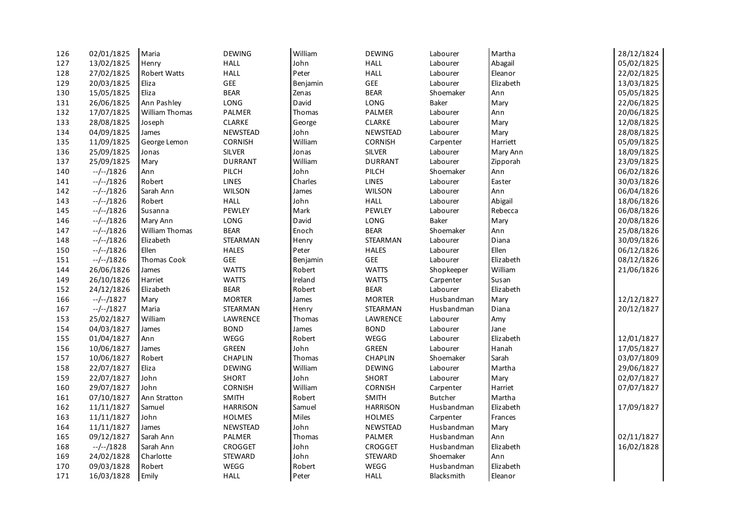| 126 | 02/01/1825 | Maria                 | <b>DEWING</b>   | William  | <b>DEWING</b>   | Labourer          | Martha    | 28/12/1824 |
|-----|------------|-----------------------|-----------------|----------|-----------------|-------------------|-----------|------------|
| 127 | 13/02/1825 | Henry                 | <b>HALL</b>     | John     | <b>HALL</b>     | Labourer          | Abagail   | 05/02/1825 |
| 128 | 27/02/1825 | Robert Watts          | <b>HALL</b>     | Peter    | <b>HALL</b>     | Labourer          | Eleanor   | 22/02/1825 |
| 129 | 20/03/1825 | Eliza                 | <b>GEE</b>      | Benjamin | GEE             | Labourer          | Elizabeth | 13/03/1825 |
| 130 | 15/05/1825 | Eliza                 | <b>BEAR</b>     | Zenas    | <b>BEAR</b>     | Shoemaker         | Ann       | 05/05/1825 |
| 131 | 26/06/1825 | Ann Pashley           | LONG            | David    | LONG            | Baker             | Mary      | 22/06/1825 |
| 132 | 17/07/1825 | <b>William Thomas</b> | <b>PALMER</b>   | Thomas   | PALMER          | Labourer          | Ann       | 20/06/1825 |
| 133 | 28/08/1825 | Joseph                | CLARKE          | George   | CLARKE          | Labourer          | Mary      | 12/08/1825 |
| 134 | 04/09/1825 | James                 | <b>NEWSTEAD</b> | John     | NEWSTEAD        | Labourer          | Mary      | 28/08/1825 |
| 135 | 11/09/1825 | George Lemon          | <b>CORNISH</b>  | William  | <b>CORNISH</b>  | Carpenter         | Harriett  | 05/09/1825 |
| 136 | 25/09/1825 | Jonas                 | <b>SILVER</b>   | Jonas    | <b>SILVER</b>   | Labourer          | Mary Ann  | 18/09/1825 |
| 137 | 25/09/1825 | Mary                  | <b>DURRANT</b>  | William  | <b>DURRANT</b>  | Labourer          | Zipporah  | 23/09/1825 |
| 140 | $-/-/1826$ | Ann                   | PILCH           | John     | PILCH           | Shoemaker         | Ann       | 06/02/1826 |
| 141 | $-/-/1826$ | Robert                | <b>LINES</b>    | Charles  | <b>LINES</b>    | Labourer          | Easter    | 30/03/1826 |
| 142 | $-/-/1826$ | Sarah Ann             | <b>WILSON</b>   | James    | <b>WILSON</b>   | Labourer          | Ann       | 06/04/1826 |
| 143 | $-/-/1826$ | Robert                | <b>HALL</b>     | John     | <b>HALL</b>     | Labourer          | Abigail   | 18/06/1826 |
| 145 | $-/-/1826$ | Susanna               | PEWLEY          | Mark     | PEWLEY          | Labourer          | Rebecca   | 06/08/1826 |
| 146 | $-/-/1826$ | Mary Ann              | LONG            | David    | LONG            | <b>Baker</b>      | Mary      | 20/08/1826 |
| 147 | $-/-/1826$ | <b>William Thomas</b> | <b>BEAR</b>     | Enoch    | <b>BEAR</b>     | Shoemaker         | Ann       | 25/08/1826 |
| 148 | $-/-/1826$ | Elizabeth             | STEARMAN        | Henry    | STEARMAN        | Labourer          | Diana     | 30/09/1826 |
| 150 | $-/-/1826$ | Ellen                 | <b>HALES</b>    | Peter    | <b>HALES</b>    | Labourer          | Ellen     | 06/12/1826 |
| 151 | $-/-/1826$ | Thomas Cook           | GEE             | Benjamin | GEE             | Labourer          | Elizabeth | 08/12/1826 |
| 144 | 26/06/1826 | James                 | <b>WATTS</b>    | Robert   | <b>WATTS</b>    | Shopkeeper        | William   | 21/06/1826 |
| 149 | 26/10/1826 | Harriet               | <b>WATTS</b>    | Ireland  | <b>WATTS</b>    | Carpenter         | Susan     |            |
| 152 | 24/12/1826 | Elizabeth             | <b>BEAR</b>     | Robert   | <b>BEAR</b>     | Labourer          | Elizabeth |            |
| 166 | $-/-/1827$ | Mary                  | <b>MORTER</b>   | James    | <b>MORTER</b>   | Husbandman        | Mary      | 12/12/1827 |
| 167 | --/--/1827 | Maria                 | STEARMAN        | Henry    | STEARMAN        | Husbandman        | Diana     | 20/12/1827 |
| 153 | 25/02/1827 | William               | LAWRENCE        | Thomas   | LAWRENCE        | Labourer          | Amy       |            |
| 154 | 04/03/1827 | James                 | <b>BOND</b>     | James    | <b>BOND</b>     | Labourer          | Jane      |            |
| 155 | 01/04/1827 | Ann                   | WEGG            | Robert   | WEGG            | Labourer          | Elizabeth | 12/01/1827 |
| 156 | 10/06/1827 | James                 | <b>GREEN</b>    | John     | GREEN           | Labourer          | Hanah     | 17/05/1827 |
| 157 | 10/06/1827 | Robert                | CHAPLIN         | Thomas   | CHAPLIN         | Shoemaker         | Sarah     | 03/07/1809 |
| 158 | 22/07/1827 | Eliza                 | <b>DEWING</b>   | William  | <b>DEWING</b>   | Labourer          | Martha    | 29/06/1827 |
| 159 | 22/07/1827 | John                  | SHORT           | John     | SHORT           | Labourer          | Mary      | 02/07/1827 |
| 160 | 29/07/1827 | John                  | <b>CORNISH</b>  | William  | <b>CORNISH</b>  | Carpenter         | Harriet   | 07/07/1827 |
| 161 | 07/10/1827 | Ann Stratton          | <b>SMITH</b>    | Robert   | <b>SMITH</b>    | <b>Butcher</b>    | Martha    |            |
| 162 | 11/11/1827 | Samuel                | <b>HARRISON</b> | Samuel   | <b>HARRISON</b> | Husbandman        | Elizabeth | 17/09/1827 |
| 163 | 11/11/1827 | John                  | <b>HOLMES</b>   | Miles    | <b>HOLMES</b>   | Carpenter         | Frances   |            |
| 164 | 11/11/1827 | James                 | <b>NEWSTEAD</b> | John     | <b>NEWSTEAD</b> | Husbandman        | Mary      |            |
| 165 | 09/12/1827 | Sarah Ann             | PALMER          | Thomas   | PALMER          | Husbandman        | Ann       | 02/11/1827 |
| 168 | $-/-/1828$ | Sarah Ann             | CROGGET         | John     | CROGGET         | Husbandman        | Elizabeth | 16/02/1828 |
| 169 | 24/02/1828 | Charlotte             | STEWARD         | John     | STEWARD         | Shoemaker         | Ann       |            |
| 170 | 09/03/1828 | Robert                | WEGG            | Robert   | WEGG            | Husbandman        | Elizabeth |            |
| 171 | 16/03/1828 | Emily                 | <b>HALL</b>     | Peter    | <b>HALL</b>     | <b>Blacksmith</b> | Eleanor   |            |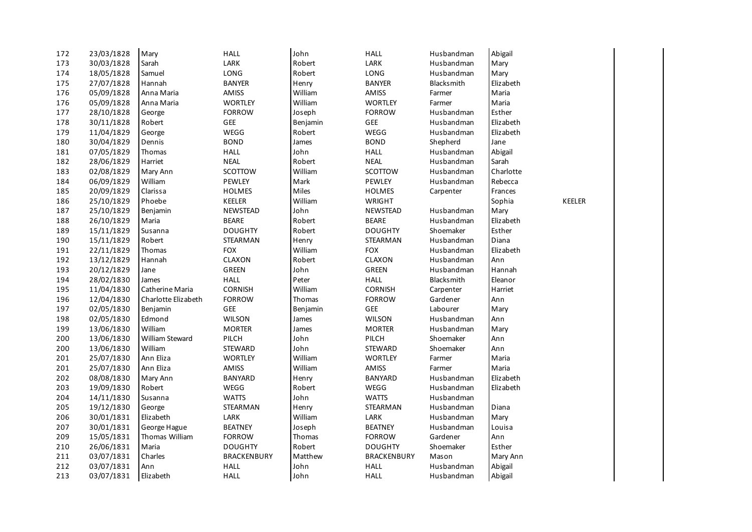| 172 | 23/03/1828 | Mary                | <b>HALL</b>                                        | John     | <b>HALL</b>        | Husbandman        | Abigail   |        |
|-----|------------|---------------------|----------------------------------------------------|----------|--------------------|-------------------|-----------|--------|
| 173 | 30/03/1828 | Sarah               | $\ensuremath{\mathsf{L}}\ensuremath{\mathsf{ARK}}$ | Robert   | LARK               | Husbandman        | Mary      |        |
| 174 | 18/05/1828 | Samuel              | LONG                                               | Robert   | LONG               | Husbandman        | Mary      |        |
| 175 | 27/07/1828 | Hannah              | <b>BANYER</b>                                      | Henry    | <b>BANYER</b>      | <b>Blacksmith</b> | Elizabeth |        |
| 176 | 05/09/1828 | Anna Maria          | <b>AMISS</b>                                       | William  | <b>AMISS</b>       | Farmer            | Maria     |        |
| 176 | 05/09/1828 | Anna Maria          | <b>WORTLEY</b>                                     | William  | <b>WORTLEY</b>     | Farmer            | Maria     |        |
| 177 | 28/10/1828 | George              | <b>FORROW</b>                                      | Joseph   | <b>FORROW</b>      | Husbandman        | Esther    |        |
| 178 | 30/11/1828 | Robert              | GEE                                                | Benjamin | GEE                | Husbandman        | Elizabeth |        |
| 179 | 11/04/1829 | George              | WEGG                                               | Robert   | WEGG               | Husbandman        | Elizabeth |        |
| 180 | 30/04/1829 | Dennis              | <b>BOND</b>                                        | James    | <b>BOND</b>        | Shepherd          | Jane      |        |
| 181 | 07/05/1829 | Thomas              | <b>HALL</b>                                        | John     | <b>HALL</b>        | Husbandman        | Abigail   |        |
| 182 | 28/06/1829 | Harriet             | <b>NEAL</b>                                        | Robert   | <b>NEAL</b>        | Husbandman        | Sarah     |        |
| 183 | 02/08/1829 | Mary Ann            | SCOTTOW                                            | William  | SCOTTOW            | Husbandman        | Charlotte |        |
| 184 | 06/09/1829 | William             | PEWLEY                                             | Mark     | PEWLEY             | Husbandman        | Rebecca   |        |
| 185 | 20/09/1829 | Clarissa            | <b>HOLMES</b>                                      | Miles    | <b>HOLMES</b>      | Carpenter         | Frances   |        |
| 186 | 25/10/1829 | Phoebe              | KEELER                                             | William  | <b>WRIGHT</b>      |                   | Sophia    | KEELER |
| 187 | 25/10/1829 | Benjamin            | <b>NEWSTEAD</b>                                    | John     | NEWSTEAD           | Husbandman        | Mary      |        |
| 188 | 26/10/1829 | Maria               | <b>BEARE</b>                                       | Robert   | <b>BEARE</b>       | Husbandman        | Elizabeth |        |
| 189 | 15/11/1829 | Susanna             | <b>DOUGHTY</b>                                     | Robert   | <b>DOUGHTY</b>     | Shoemaker         | Esther    |        |
| 190 | 15/11/1829 | Robert              | STEARMAN                                           | Henry    | STEARMAN           | Husbandman        | Diana     |        |
| 191 | 22/11/1829 | Thomas              | <b>FOX</b>                                         | William  | <b>FOX</b>         | Husbandman        | Elizabeth |        |
| 192 | 13/12/1829 | Hannah              | CLAXON                                             | Robert   | CLAXON             | Husbandman        | Ann       |        |
| 193 | 20/12/1829 | Jane                | GREEN                                              | John     | GREEN              | Husbandman        | Hannah    |        |
| 194 | 28/02/1830 | James               | <b>HALL</b>                                        | Peter    | <b>HALL</b>        | <b>Blacksmith</b> | Eleanor   |        |
| 195 | 11/04/1830 | Catherine Maria     | <b>CORNISH</b>                                     | William  | <b>CORNISH</b>     | Carpenter         | Harriet   |        |
| 196 | 12/04/1830 | Charlotte Elizabeth | <b>FORROW</b>                                      | Thomas   | <b>FORROW</b>      | Gardener          | Ann       |        |
| 197 | 02/05/1830 | Benjamin            | GEE                                                | Benjamin | GEE                | Labourer          | Mary      |        |
| 198 | 02/05/1830 | Edmond              | <b>WILSON</b>                                      | James    | <b>WILSON</b>      | Husbandman        | Ann       |        |
| 199 | 13/06/1830 | William             | <b>MORTER</b>                                      | James    | <b>MORTER</b>      | Husbandman        | Mary      |        |
| 200 | 13/06/1830 | William Steward     | PILCH                                              | John     | PILCH              | Shoemaker         | Ann       |        |
| 200 | 13/06/1830 | William             | <b>STEWARD</b>                                     | John     | <b>STEWARD</b>     | Shoemaker         | Ann       |        |
| 201 | 25/07/1830 | Ann Eliza           | <b>WORTLEY</b>                                     | William  | <b>WORTLEY</b>     | Farmer            | Maria     |        |
| 201 | 25/07/1830 | Ann Eliza           | AMISS                                              | William  | AMISS              | Farmer            | Maria     |        |
| 202 | 08/08/1830 | Mary Ann            | BANYARD                                            | Henry    | <b>BANYARD</b>     | Husbandman        | Elizabeth |        |
| 203 | 19/09/1830 | Robert              | WEGG                                               | Robert   | WEGG               | Husbandman        | Elizabeth |        |
| 204 | 14/11/1830 | Susanna             | <b>WATTS</b>                                       | John     | <b>WATTS</b>       | Husbandman        |           |        |
| 205 | 19/12/1830 | George              | STEARMAN                                           | Henry    | STEARMAN           | Husbandman        | Diana     |        |
| 206 | 30/01/1831 | Elizabeth           | LARK                                               | William  | LARK               | Husbandman        | Mary      |        |
| 207 | 30/01/1831 | George Hague        | <b>BEATNEY</b>                                     | Joseph   | <b>BEATNEY</b>     | Husbandman        | Louisa    |        |
| 209 | 15/05/1831 | Thomas William      | <b>FORROW</b>                                      | Thomas   | <b>FORROW</b>      | Gardener          | Ann       |        |
| 210 | 26/06/1831 | Maria               | <b>DOUGHTY</b>                                     | Robert   | <b>DOUGHTY</b>     | Shoemaker         | Esther    |        |
| 211 | 03/07/1831 | Charles             | <b>BRACKENBURY</b>                                 | Matthew  | <b>BRACKENBURY</b> | Mason             | Mary Ann  |        |
| 212 | 03/07/1831 | Ann                 | <b>HALL</b>                                        | John     | <b>HALL</b>        | Husbandman        | Abigail   |        |
| 213 | 03/07/1831 | Elizabeth           | <b>HALL</b>                                        | John     | <b>HALL</b>        | Husbandman        | Abigail   |        |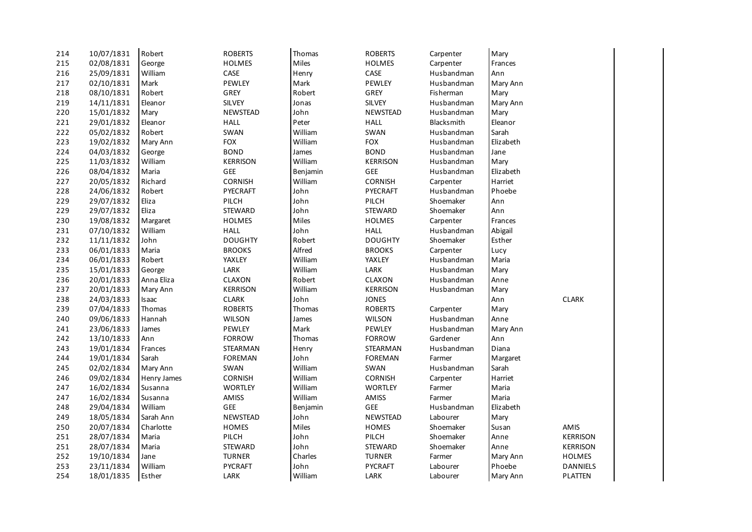| 214 | 10/07/1831 | Robert       | <b>ROBERTS</b>  | Thomas   | <b>ROBERTS</b>  | Carpenter         | Mary      |                 |
|-----|------------|--------------|-----------------|----------|-----------------|-------------------|-----------|-----------------|
| 215 | 02/08/1831 | George       | <b>HOLMES</b>   | Miles    | <b>HOLMES</b>   | Carpenter         | Frances   |                 |
| 216 | 25/09/1831 | William      | CASE            | Henry    | CASE            | Husbandman        | Ann       |                 |
| 217 | 02/10/1831 | Mark         | PEWLEY          | Mark     | PEWLEY          | Husbandman        | Mary Ann  |                 |
| 218 | 08/10/1831 | Robert       | GREY            | Robert   | GREY            | Fisherman         | Mary      |                 |
| 219 | 14/11/1831 | Eleanor      | <b>SILVEY</b>   | Jonas    | <b>SILVEY</b>   | Husbandman        | Mary Ann  |                 |
| 220 | 15/01/1832 | Mary         | <b>NEWSTEAD</b> | John     | <b>NEWSTEAD</b> | Husbandman        | Mary      |                 |
| 221 | 29/01/1832 | Eleanor      | <b>HALL</b>     | Peter    | <b>HALL</b>     | <b>Blacksmith</b> | Eleanor   |                 |
| 222 | 05/02/1832 | Robert       | SWAN            | William  | SWAN            | Husbandman        | Sarah     |                 |
| 223 | 19/02/1832 | Mary Ann     | <b>FOX</b>      | William  | <b>FOX</b>      | Husbandman        | Elizabeth |                 |
| 224 | 04/03/1832 | George       | <b>BOND</b>     | James    | <b>BOND</b>     | Husbandman        | Jane      |                 |
| 225 | 11/03/1832 | William      | <b>KERRISON</b> | William  | <b>KERRISON</b> | Husbandman        | Mary      |                 |
| 226 | 08/04/1832 | Maria        | GEE             | Benjamin | GEE             | Husbandman        | Elizabeth |                 |
| 227 | 20/05/1832 | Richard      | CORNISH         | William  | <b>CORNISH</b>  | Carpenter         | Harriet   |                 |
| 228 | 24/06/1832 | Robert       | PYECRAFT        | John     | PYECRAFT        | Husbandman        | Phoebe    |                 |
| 229 | 29/07/1832 | Eliza        | PILCH           | John     | PILCH           | Shoemaker         | Ann       |                 |
| 229 | 29/07/1832 | Eliza        | <b>STEWARD</b>  | John     | <b>STEWARD</b>  | Shoemaker         | Ann       |                 |
| 230 | 19/08/1832 | Margaret     | <b>HOLMES</b>   | Miles    | <b>HOLMES</b>   | Carpenter         | Frances   |                 |
| 231 | 07/10/1832 | William      | <b>HALL</b>     | John     | <b>HALL</b>     | Husbandman        | Abigail   |                 |
| 232 | 11/11/1832 | John         | <b>DOUGHTY</b>  | Robert   | <b>DOUGHTY</b>  | Shoemaker         | Esther    |                 |
| 233 | 06/01/1833 | Maria        | <b>BROOKS</b>   | Alfred   | <b>BROOKS</b>   | Carpenter         | Lucy      |                 |
| 234 | 06/01/1833 | Robert       | YAXLEY          | William  | YAXLEY          | Husbandman        | Maria     |                 |
| 235 | 15/01/1833 | George       | LARK            | William  | LARK            | Husbandman        | Mary      |                 |
| 236 | 20/01/1833 | Anna Eliza   | CLAXON          | Robert   | CLAXON          | Husbandman        | Anne      |                 |
| 237 | 20/01/1833 | Mary Ann     | <b>KERRISON</b> | William  | <b>KERRISON</b> | Husbandman        | Mary      |                 |
| 238 | 24/03/1833 | <b>Isaac</b> | <b>CLARK</b>    | John     | <b>JONES</b>    |                   | Ann       | <b>CLARK</b>    |
| 239 | 07/04/1833 | Thomas       | <b>ROBERTS</b>  | Thomas   | <b>ROBERTS</b>  | Carpenter         | Mary      |                 |
| 240 | 09/06/1833 | Hannah       | <b>WILSON</b>   | James    | <b>WILSON</b>   | Husbandman        | Anne      |                 |
| 241 | 23/06/1833 | James        | <b>PEWLEY</b>   | Mark     | <b>PEWLEY</b>   | Husbandman        | Mary Ann  |                 |
| 242 | 13/10/1833 | Ann          | <b>FORROW</b>   | Thomas   | <b>FORROW</b>   | Gardener          | Ann       |                 |
| 243 | 19/01/1834 | Frances      | STEARMAN        | Henry    | STEARMAN        | Husbandman        | Diana     |                 |
| 244 | 19/01/1834 | Sarah        | <b>FOREMAN</b>  | John     | <b>FOREMAN</b>  | Farmer            | Margaret  |                 |
| 245 | 02/02/1834 | Mary Ann     | SWAN            | William  | SWAN            | Husbandman        | Sarah     |                 |
| 246 | 09/02/1834 | Henry James  | CORNISH         | William  | <b>CORNISH</b>  | Carpenter         | Harriet   |                 |
| 247 | 16/02/1834 | Susanna      | <b>WORTLEY</b>  | William  | <b>WORTLEY</b>  | Farmer            | Maria     |                 |
| 247 | 16/02/1834 | Susanna      | AMISS           | William  | <b>AMISS</b>    | Farmer            | Maria     |                 |
| 248 | 29/04/1834 | William      | GEE             | Benjamin | GEE             | Husbandman        | Elizabeth |                 |
| 249 | 18/05/1834 | Sarah Ann    | <b>NEWSTEAD</b> | John     | NEWSTEAD        | Labourer          | Mary      |                 |
| 250 | 20/07/1834 | Charlotte    | <b>HOMES</b>    | Miles    | <b>HOMES</b>    | Shoemaker         | Susan     | AMIS            |
| 251 | 28/07/1834 | Maria        | PILCH           | John     | PILCH           | Shoemaker         | Anne      | <b>KERRISON</b> |
| 251 | 28/07/1834 | Maria        | STEWARD         | John     | STEWARD         | Shoemaker         | Anne      | <b>KERRISON</b> |
| 252 | 19/10/1834 | Jane         | <b>TURNER</b>   | Charles  | <b>TURNER</b>   | Farmer            | Mary Ann  | <b>HOLMES</b>   |
| 253 | 23/11/1834 | William      | <b>PYCRAFT</b>  | John     | PYCRAFT         | Labourer          | Phoebe    | <b>DANNIELS</b> |
| 254 | 18/01/1835 | Esther       | LARK            | William  | LARK            | Labourer          | Mary Ann  | <b>PLATTEN</b>  |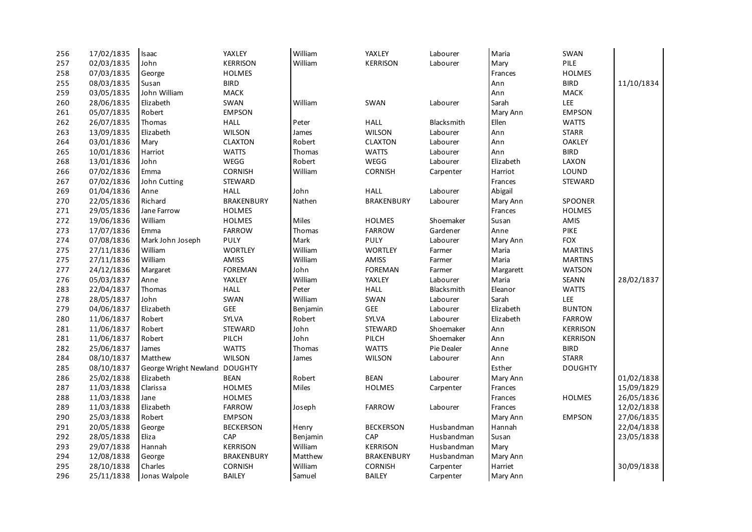| 256 | 17/02/1835 | Isaac                         | YAXLEY            | William  | YAXLEY            | Labourer          | Maria     | SWAN            |            |
|-----|------------|-------------------------------|-------------------|----------|-------------------|-------------------|-----------|-----------------|------------|
| 257 | 02/03/1835 | John                          | <b>KERRISON</b>   | William  | <b>KERRISON</b>   | Labourer          | Mary      | PILE            |            |
| 258 | 07/03/1835 | George                        | <b>HOLMES</b>     |          |                   |                   | Frances   | <b>HOLMES</b>   |            |
| 255 | 08/03/1835 | Susan                         | <b>BIRD</b>       |          |                   |                   | Ann       | <b>BIRD</b>     | 11/10/1834 |
| 259 | 03/05/1835 | John William                  | MACK              |          |                   |                   | Ann       | MACK            |            |
| 260 | 28/06/1835 | Elizabeth                     | SWAN              | William  | SWAN              | Labourer          | Sarah     | LEE             |            |
| 261 | 05/07/1835 | Robert                        | <b>EMPSON</b>     |          |                   |                   | Mary Ann  | <b>EMPSON</b>   |            |
| 262 | 26/07/1835 | Thomas                        | <b>HALL</b>       | Peter    | <b>HALL</b>       | <b>Blacksmith</b> | Ellen     | <b>WATTS</b>    |            |
| 263 | 13/09/1835 | Elizabeth                     | <b>WILSON</b>     | James    | <b>WILSON</b>     | Labourer          | Ann       | <b>STARR</b>    |            |
| 264 | 03/01/1836 | Mary                          | <b>CLAXTON</b>    | Robert   | <b>CLAXTON</b>    | Labourer          | Ann       | <b>OAKLEY</b>   |            |
| 265 | 10/01/1836 | Harriot                       | <b>WATTS</b>      | Thomas   | <b>WATTS</b>      | Labourer          | Ann       | <b>BIRD</b>     |            |
| 268 | 13/01/1836 | John                          | WEGG              | Robert   | WEGG              | Labourer          | Elizabeth | LAXON           |            |
| 266 | 07/02/1836 | Emma                          | <b>CORNISH</b>    | William  | <b>CORNISH</b>    | Carpenter         | Harriot   | LOUND           |            |
| 267 | 07/02/1836 | John Cutting                  | STEWARD           |          |                   |                   | Frances   | STEWARD         |            |
| 269 | 01/04/1836 | Anne                          | <b>HALL</b>       | John     | <b>HALL</b>       | Labourer          | Abigail   |                 |            |
| 270 | 22/05/1836 | Richard                       | <b>BRAKENBURY</b> | Nathen   | <b>BRAKENBURY</b> | Labourer          | Mary Ann  | <b>SPOONER</b>  |            |
| 271 | 29/05/1836 | Jane Farrow                   | <b>HOLMES</b>     |          |                   |                   | Frances   | <b>HOLMES</b>   |            |
| 272 | 19/06/1836 | William                       | <b>HOLMES</b>     | Miles    | <b>HOLMES</b>     | Shoemaker         | Susan     | AMIS            |            |
| 273 | 17/07/1836 | Emma                          | <b>FARROW</b>     | Thomas   | <b>FARROW</b>     | Gardener          | Anne      | PIKE            |            |
| 274 | 07/08/1836 | Mark John Joseph              | PULY              | Mark     | <b>PULY</b>       | Labourer          | Mary Ann  | <b>FOX</b>      |            |
| 275 | 27/11/1836 | William                       | <b>WORTLEY</b>    | William  | <b>WORTLEY</b>    | Farmer            | Maria     | <b>MARTINS</b>  |            |
| 275 | 27/11/1836 | William                       | AMISS             | William  | AMISS             | Farmer            | Maria     | <b>MARTINS</b>  |            |
| 277 | 24/12/1836 | Margaret                      | <b>FOREMAN</b>    | John     | <b>FOREMAN</b>    | Farmer            | Margarett | <b>WATSON</b>   |            |
| 276 | 05/03/1837 | Anne                          | YAXLEY            | William  | YAXLEY            | Labourer          | Maria     | SEANN           | 28/02/1837 |
| 283 | 22/04/1837 | Thomas                        | <b>HALL</b>       | Peter    | <b>HALL</b>       | Blacksmith        | Eleanor   | <b>WATTS</b>    |            |
| 278 | 28/05/1837 | John                          | SWAN              | William  | SWAN              | Labourer          | Sarah     | LEE             |            |
| 279 | 04/06/1837 | Elizabeth                     | GEE               | Benjamin | GEE               | Labourer          | Elizabeth | <b>BUNTON</b>   |            |
| 280 | 11/06/1837 | Robert                        | SYLVA             | Robert   | SYLVA             | Labourer          | Elizabeth | <b>FARROW</b>   |            |
| 281 | 11/06/1837 | Robert                        | STEWARD           | John     | STEWARD           | Shoemaker         | Ann       | <b>KERRISON</b> |            |
| 281 | 11/06/1837 | Robert                        | PILCH             | John     | PILCH             | Shoemaker         | Ann       | <b>KERRISON</b> |            |
| 282 | 25/06/1837 | James                         | <b>WATTS</b>      | Thomas   | <b>WATTS</b>      | Pie Dealer        | Anne      | <b>BIRD</b>     |            |
| 284 | 08/10/1837 | Matthew                       | <b>WILSON</b>     | James    | <b>WILSON</b>     | Labourer          | Ann       | <b>STARR</b>    |            |
| 285 | 08/10/1837 | George Wright Newland DOUGHTY |                   |          |                   |                   | Esther    | <b>DOUGHTY</b>  |            |
| 286 | 25/02/1838 | Elizabeth                     | <b>BEAN</b>       | Robert   | <b>BEAN</b>       | Labourer          | Mary Ann  |                 | 01/02/1838 |
| 287 | 11/03/1838 | Clarissa                      | <b>HOLMES</b>     | Miles    | <b>HOLMES</b>     | Carpenter         | Frances   |                 | 15/09/1829 |
| 288 | 11/03/1838 | Jane                          | <b>HOLMES</b>     |          |                   |                   | Frances   | <b>HOLMES</b>   | 26/05/1836 |
| 289 | 11/03/1838 | Elizabeth                     | <b>FARROW</b>     | Joseph   | <b>FARROW</b>     | Labourer          | Frances   |                 | 12/02/1838 |
| 290 | 25/03/1838 | Robert                        | <b>EMPSON</b>     |          |                   |                   | Mary Ann  | <b>EMPSON</b>   | 27/06/1835 |
| 291 | 20/05/1838 | George                        | <b>BECKERSON</b>  | Henry    | <b>BECKERSON</b>  | Husbandman        | Hannah    |                 | 22/04/1838 |
| 292 | 28/05/1838 | Eliza                         | CAP               | Benjamin | CAP               | Husbandman        | Susan     |                 | 23/05/1838 |
| 293 | 29/07/1838 | Hannah                        | <b>KERRISON</b>   | William  | <b>KERRISON</b>   | Husbandman        | Mary      |                 |            |
| 294 | 12/08/1838 | George                        | <b>BRAKENBURY</b> | Matthew  | <b>BRAKENBURY</b> | Husbandman        | Mary Ann  |                 |            |
| 295 | 28/10/1838 | Charles                       | <b>CORNISH</b>    | William  | <b>CORNISH</b>    | Carpenter         | Harriet   |                 | 30/09/1838 |
| 296 | 25/11/1838 | Jonas Walpole                 | <b>BAILEY</b>     | Samuel   | <b>BAILEY</b>     | Carpenter         | Mary Ann  |                 |            |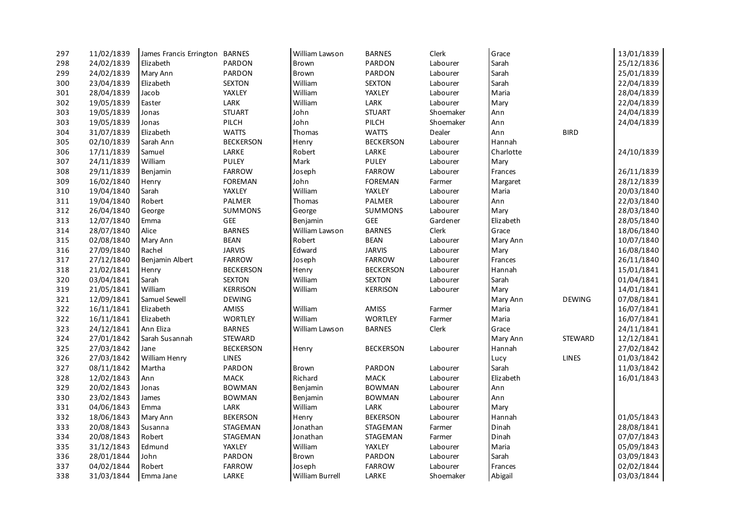| 297 | 11/02/1839 | James Francis Errington BARNES |                  | William Lawson         | <b>BARNES</b>    | Clerk     | Grace     |                | 13/01/1839 |
|-----|------------|--------------------------------|------------------|------------------------|------------------|-----------|-----------|----------------|------------|
| 298 | 24/02/1839 | Elizabeth                      | <b>PARDON</b>    | Brown                  | PARDON           | Labourer  | Sarah     |                | 25/12/1836 |
| 299 | 24/02/1839 | Mary Ann                       | <b>PARDON</b>    | Brown                  | <b>PARDON</b>    | Labourer  | Sarah     |                | 25/01/1839 |
| 300 | 23/04/1839 | Elizabeth                      | <b>SEXTON</b>    | William                | <b>SEXTON</b>    | Labourer  | Sarah     |                | 22/04/1839 |
| 301 | 28/04/1839 | Jacob                          | YAXLEY           | William                | YAXLEY           | Labourer  | Maria     |                | 28/04/1839 |
| 302 | 19/05/1839 | Easter                         | LARK             | William                | LARK             | Labourer  | Mary      |                | 22/04/1839 |
| 303 | 19/05/1839 | Jonas                          | <b>STUART</b>    | John                   | <b>STUART</b>    | Shoemaker | Ann       |                | 24/04/1839 |
| 303 | 19/05/1839 | Jonas                          | PILCH            | John                   | PILCH            | Shoemaker | Ann       |                | 24/04/1839 |
| 304 | 31/07/1839 | Elizabeth                      | <b>WATTS</b>     | Thomas                 | <b>WATTS</b>     | Dealer    | Ann       | <b>BIRD</b>    |            |
| 305 | 02/10/1839 | Sarah Ann                      | <b>BECKERSON</b> | Henry                  | <b>BECKERSON</b> | Labourer  | Hannah    |                |            |
| 306 | 17/11/1839 | Samuel                         | LARKE            | Robert                 | LARKE            | Labourer  | Charlotte |                | 24/10/1839 |
| 307 | 24/11/1839 | William                        | <b>PULEY</b>     | Mark                   | <b>PULEY</b>     | Labourer  | Mary      |                |            |
| 308 | 29/11/1839 | Benjamin                       | <b>FARROW</b>    | Joseph                 | <b>FARROW</b>    | Labourer  | Frances   |                | 26/11/1839 |
| 309 | 16/02/1840 | Henry                          | <b>FOREMAN</b>   | John                   | <b>FOREMAN</b>   | Farmer    | Margaret  |                | 28/12/1839 |
| 310 | 19/04/1840 | Sarah                          | YAXLEY           | William                | YAXLEY           | Labourer  | Maria     |                | 20/03/1840 |
| 311 | 19/04/1840 | Robert                         | <b>PALMER</b>    | Thomas                 | <b>PALMER</b>    | Labourer  | Ann       |                | 22/03/1840 |
| 312 | 26/04/1840 | George                         | <b>SUMMONS</b>   | George                 | <b>SUMMONS</b>   | Labourer  | Mary      |                | 28/03/1840 |
| 313 | 12/07/1840 | Emma                           | GEE              | Benjamin               | GEE              | Gardener  | Elizabeth |                | 28/05/1840 |
| 314 | 28/07/1840 | Alice                          | <b>BARNES</b>    | William Lawson         | <b>BARNES</b>    | Clerk     | Grace     |                | 18/06/1840 |
| 315 | 02/08/1840 | Mary Ann                       | <b>BEAN</b>      | Robert                 | <b>BEAN</b>      | Labourer  | Mary Ann  |                | 10/07/1840 |
| 316 | 27/09/1840 | Rachel                         | <b>JARVIS</b>    | Edward                 | <b>JARVIS</b>    | Labourer  | Mary      |                | 16/08/1840 |
| 317 | 27/12/1840 | Benjamin Albert                | <b>FARROW</b>    | Joseph                 | <b>FARROW</b>    | Labourer  | Frances   |                | 26/11/1840 |
| 318 | 21/02/1841 | Henry                          | <b>BECKERSON</b> | Henry                  | <b>BECKERSON</b> | Labourer  | Hannah    |                | 15/01/1841 |
| 320 | 03/04/1841 | Sarah                          | <b>SEXTON</b>    | William                | <b>SEXTON</b>    | Labourer  | Sarah     |                | 01/04/1841 |
| 319 | 21/05/1841 | William                        | <b>KERRISON</b>  | William                | <b>KERRISON</b>  | Labourer  | Mary      |                | 14/01/1841 |
| 321 | 12/09/1841 | Samuel Sewell                  | <b>DEWING</b>    |                        |                  |           | Mary Ann  | <b>DEWING</b>  | 07/08/1841 |
| 322 | 16/11/1841 | Elizabeth                      | AMISS            | William                | AMISS            | Farmer    | Maria     |                | 16/07/1841 |
| 322 | 16/11/1841 | Elizabeth                      | <b>WORTLEY</b>   | William                | <b>WORTLEY</b>   | Farmer    | Maria     |                | 16/07/1841 |
| 323 | 24/12/1841 | Ann Eliza                      | <b>BARNES</b>    | William Lawson         | <b>BARNES</b>    | Clerk     | Grace     |                | 24/11/1841 |
| 324 | 27/01/1842 | Sarah Susannah                 | <b>STEWARD</b>   |                        |                  |           | Mary Ann  | <b>STEWARD</b> | 12/12/1841 |
| 325 | 27/03/1842 | Jane                           | <b>BECKERSON</b> | Henry                  | <b>BECKERSON</b> | Labourer  | Hannah    |                | 27/02/1842 |
| 326 | 27/03/1842 | William Henry                  | <b>LINES</b>     |                        |                  |           | Lucy      | <b>LINES</b>   | 01/03/1842 |
| 327 | 08/11/1842 | Martha                         | PARDON           | Brown                  | PARDON           | Labourer  | Sarah     |                | 11/03/1842 |
| 328 | 12/02/1843 | Ann                            | MACK             | Richard                | MACK             | Labourer  | Elizabeth |                | 16/01/1843 |
| 329 | 20/02/1843 | Jonas                          | <b>BOWMAN</b>    | Benjamin               | <b>BOWMAN</b>    | Labourer  | Ann       |                |            |
| 330 | 23/02/1843 | James                          | <b>BOWMAN</b>    | Benjamin               | <b>BOWMAN</b>    | Labourer  | Ann       |                |            |
| 331 | 04/06/1843 | Emma                           | LARK             | William                | LARK             | Labourer  | Mary      |                |            |
| 332 | 18/06/1843 | Mary Ann                       | <b>BEKERSON</b>  | Henry                  | <b>BEKERSON</b>  | Labourer  | Hannah    |                | 01/05/1843 |
| 333 | 20/08/1843 | Susanna                        | STAGEMAN         | Jonathan               | STAGEMAN         | Farmer    | Dinah     |                | 28/08/1841 |
| 334 | 20/08/1843 | Robert                         | STAGEMAN         | Jonathan               | STAGEMAN         | Farmer    | Dinah     |                | 07/07/1843 |
| 335 | 31/12/1843 | Edmund                         | YAXLEY           | William                | YAXLEY           | Labourer  | Maria     |                | 05/09/1843 |
| 336 | 28/01/1844 | John                           | PARDON           | Brown                  | PARDON           | Labourer  | Sarah     |                | 03/09/1843 |
| 337 | 04/02/1844 | Robert                         | <b>FARROW</b>    | Joseph                 | <b>FARROW</b>    | Labourer  | Frances   |                | 02/02/1844 |
| 338 | 31/03/1844 | Emma Jane                      | LARKE            | <b>William Burrell</b> | LARKE            | Shoemaker | Abigail   |                | 03/03/1844 |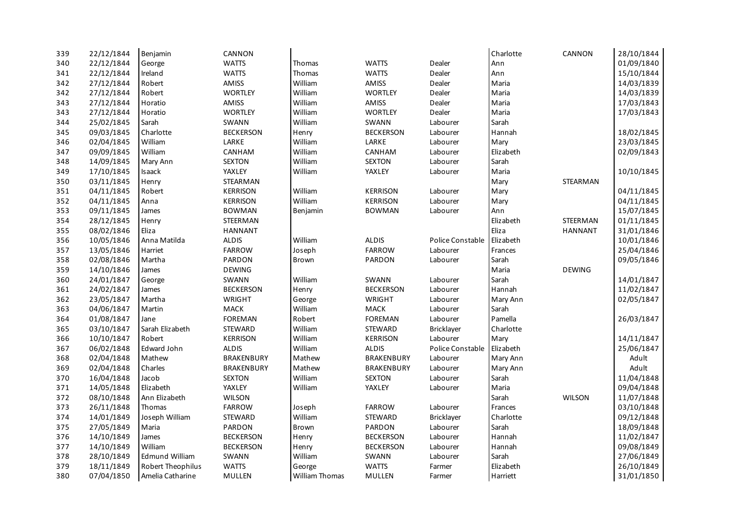| 339 | 22/12/1844 | Benjamin              | CANNON            |                       |                   |                  | Charlotte | CANNON         | 28/10/1844 |
|-----|------------|-----------------------|-------------------|-----------------------|-------------------|------------------|-----------|----------------|------------|
| 340 | 22/12/1844 | George                | <b>WATTS</b>      | Thomas                | <b>WATTS</b>      | Dealer           | Ann       |                | 01/09/1840 |
| 341 | 22/12/1844 | Ireland               | <b>WATTS</b>      | Thomas                | <b>WATTS</b>      | Dealer           | Ann       |                | 15/10/1844 |
| 342 | 27/12/1844 | Robert                | AMISS             | William               | AMISS             | Dealer           | Maria     |                | 14/03/1839 |
| 342 | 27/12/1844 | Robert                | <b>WORTLEY</b>    | William               | <b>WORTLEY</b>    | Dealer           | Maria     |                | 14/03/1839 |
| 343 | 27/12/1844 | Horatio               | <b>AMISS</b>      | William               | <b>AMISS</b>      | Dealer           | Maria     |                | 17/03/1843 |
| 343 | 27/12/1844 | Horatio               | <b>WORTLEY</b>    | William               | <b>WORTLEY</b>    | Dealer           | Maria     |                | 17/03/1843 |
| 344 | 25/02/1845 | Sarah                 | SWANN             | William               | SWANN             | Labourer         | Sarah     |                |            |
| 345 | 09/03/1845 | Charlotte             | <b>BECKERSON</b>  | Henry                 | <b>BECKERSON</b>  | Labourer         | Hannah    |                | 18/02/1845 |
| 346 | 02/04/1845 | William               | LARKE             | William               | LARKE             | Labourer         | Mary      |                | 23/03/1845 |
| 347 | 09/09/1845 | William               | CANHAM            | William               | CANHAM            | Labourer         | Elizabeth |                | 02/09/1843 |
| 348 | 14/09/1845 | Mary Ann              | <b>SEXTON</b>     | William               | <b>SEXTON</b>     | Labourer         | Sarah     |                |            |
| 349 | 17/10/1845 | Isaack                | YAXLEY            | William               | YAXLEY            | Labourer         | Maria     |                | 10/10/1845 |
| 350 | 03/11/1845 | Henry                 | <b>STEARMAN</b>   |                       |                   |                  | Mary      | STEARMAN       |            |
| 351 | 04/11/1845 | Robert                | <b>KERRISON</b>   | William               | <b>KERRISON</b>   | Labourer         | Mary      |                | 04/11/1845 |
| 352 | 04/11/1845 | Anna                  | <b>KERRISON</b>   | William               | <b>KERRISON</b>   | Labourer         | Mary      |                | 04/11/1845 |
| 353 | 09/11/1845 | James                 | <b>BOWMAN</b>     | Benjamin              | <b>BOWMAN</b>     | Labourer         | Ann       |                | 15/07/1845 |
| 354 | 28/12/1845 | Henry                 | STEERMAN          |                       |                   |                  | Elizabeth | STEERMAN       | 01/11/1845 |
| 355 | 08/02/1846 | Eliza                 | <b>HANNANT</b>    |                       |                   |                  | Eliza     | <b>HANNANT</b> | 31/01/1846 |
| 356 | 10/05/1846 | Anna Matilda          | <b>ALDIS</b>      | William               | ALDIS             | Police Constable | Elizabeth |                | 10/01/1846 |
| 357 | 13/05/1846 | Harriet               | <b>FARROW</b>     | Joseph                | <b>FARROW</b>     | Labourer         | Frances   |                | 25/04/1846 |
| 358 | 02/08/1846 | Martha                | PARDON            | Brown                 | <b>PARDON</b>     | Labourer         | Sarah     |                | 09/05/1846 |
| 359 | 14/10/1846 | James                 | <b>DEWING</b>     |                       |                   |                  | Maria     | <b>DEWING</b>  |            |
| 360 | 24/01/1847 | George                | SWANN             | William               | SWANN             | Labourer         | Sarah     |                | 14/01/1847 |
| 361 | 24/02/1847 | James                 | <b>BECKERSON</b>  | Henry                 | <b>BECKERSON</b>  | Labourer         | Hannah    |                | 11/02/1847 |
| 362 | 23/05/1847 | Martha                | <b>WRIGHT</b>     | George                | <b>WRIGHT</b>     | Labourer         | Mary Ann  |                | 02/05/1847 |
| 363 | 04/06/1847 | Martin                | <b>MACK</b>       | William               | MACK              | Labourer         | Sarah     |                |            |
| 364 | 01/08/1847 | Jane                  | <b>FOREMAN</b>    | Robert                | <b>FOREMAN</b>    | Labourer         | Pamella   |                | 26/03/1847 |
| 365 | 03/10/1847 | Sarah Elizabeth       | <b>STEWARD</b>    | William               | <b>STEWARD</b>    | Bricklayer       | Charlotte |                |            |
| 366 | 10/10/1847 | Robert                | <b>KERRISON</b>   | William               | <b>KERRISON</b>   | Labourer         | Mary      |                | 14/11/1847 |
| 367 | 06/02/1848 | Edward John           | <b>ALDIS</b>      | William               | <b>ALDIS</b>      | Police Constable | Elizabeth |                | 25/06/1847 |
| 368 | 02/04/1848 | Mathew                | <b>BRAKENBURY</b> | Mathew                | <b>BRAKENBURY</b> | Labourer         | Mary Ann  |                | Adult      |
| 369 | 02/04/1848 | Charles               | <b>BRAKENBURY</b> | Mathew                | <b>BRAKENBURY</b> | Labourer         | Mary Ann  |                | Adult      |
| 370 | 16/04/1848 | Jacob                 | <b>SEXTON</b>     | William               | <b>SEXTON</b>     | Labourer         | Sarah     |                | 11/04/1848 |
| 371 | 14/05/1848 | Elizabeth             | YAXLEY            | William               | YAXLEY            | Labourer         | Maria     |                | 09/04/1848 |
| 372 | 08/10/1848 | Ann Elizabeth         | <b>WILSON</b>     |                       |                   |                  | Sarah     | <b>WILSON</b>  | 11/07/1848 |
| 373 | 26/11/1848 | Thomas                | <b>FARROW</b>     | Joseph                | <b>FARROW</b>     | Labourer         | Frances   |                | 03/10/1848 |
| 374 | 14/01/1849 | Joseph William        | <b>STEWARD</b>    | William               | <b>STEWARD</b>    | Bricklayer       | Charlotte |                | 09/12/1848 |
| 375 | 27/05/1849 | Maria                 | PARDON            | Brown                 | PARDON            | Labourer         | Sarah     |                | 18/09/1848 |
| 376 | 14/10/1849 | James                 | <b>BECKERSON</b>  | Henry                 | <b>BECKERSON</b>  | Labourer         | Hannah    |                | 11/02/1847 |
| 377 | 14/10/1849 | William               | <b>BECKERSON</b>  | Henry                 | <b>BECKERSON</b>  | Labourer         | Hannah    |                | 09/08/1849 |
| 378 | 28/10/1849 | <b>Edmund William</b> | SWANN             | William               | SWANN             | Labourer         | Sarah     |                | 27/06/1849 |
| 379 | 18/11/1849 | Robert Theophilus     | <b>WATTS</b>      | George                | <b>WATTS</b>      | Farmer           | Elizabeth |                | 26/10/1849 |
| 380 | 07/04/1850 | Amelia Catharine      | <b>MULLEN</b>     | <b>William Thomas</b> | <b>MULLEN</b>     | Farmer           | Harriett  |                | 31/01/1850 |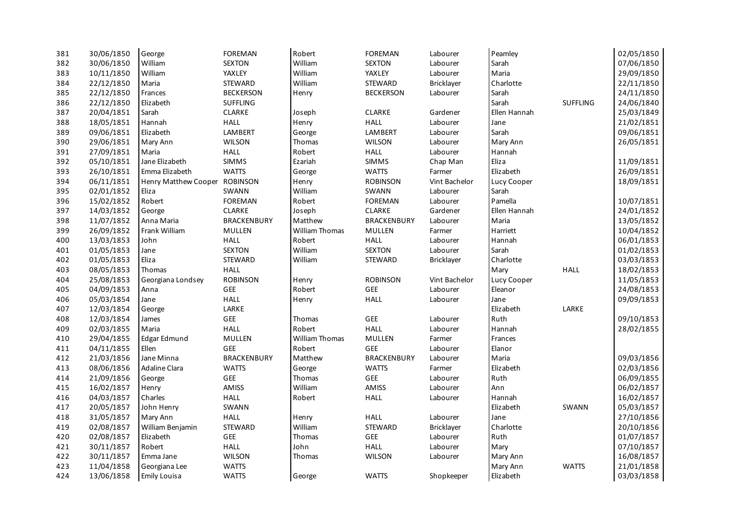| 381 | 30/06/1850 | George               | <b>FOREMAN</b>     | Robert                | <b>FOREMAN</b>     | Labourer          | Peamley      |                 | 02/05/1850 |
|-----|------------|----------------------|--------------------|-----------------------|--------------------|-------------------|--------------|-----------------|------------|
| 382 | 30/06/1850 | William              | <b>SEXTON</b>      | William               | <b>SEXTON</b>      | Labourer          | Sarah        |                 | 07/06/1850 |
| 383 | 10/11/1850 | William              | YAXLEY             | William               | YAXLEY             | Labourer          | Maria        |                 | 29/09/1850 |
| 384 | 22/12/1850 | Maria                | <b>STEWARD</b>     | William               | <b>STEWARD</b>     | <b>Bricklayer</b> | Charlotte    |                 | 22/11/1850 |
| 385 | 22/12/1850 | Frances              | <b>BECKERSON</b>   | Henry                 | <b>BECKERSON</b>   | Labourer          | Sarah        |                 | 24/11/1850 |
| 386 | 22/12/1850 | Elizabeth            | <b>SUFFLING</b>    |                       |                    |                   | Sarah        | <b>SUFFLING</b> | 24/06/1840 |
| 387 | 20/04/1851 | Sarah                | <b>CLARKE</b>      | Joseph                | <b>CLARKE</b>      | Gardener          | Ellen Hannah |                 | 25/03/1849 |
| 388 | 18/05/1851 | Hannah               | <b>HALL</b>        | Henry                 | <b>HALL</b>        | Labourer          | Jane         |                 | 21/02/1851 |
| 389 | 09/06/1851 | Elizabeth            | LAMBERT            | George                | LAMBERT            | Labourer          | Sarah        |                 | 09/06/1851 |
| 390 | 29/06/1851 | Mary Ann             | <b>WILSON</b>      | Thomas                | <b>WILSON</b>      | Labourer          | Mary Ann     |                 | 26/05/1851 |
| 391 | 27/09/1851 | Maria                | <b>HALL</b>        | Robert                | <b>HALL</b>        | Labourer          | Hannah       |                 |            |
| 392 | 05/10/1851 | Jane Elizabeth       | <b>SIMMS</b>       | Ezariah               | <b>SIMMS</b>       | Chap Man          | Eliza        |                 | 11/09/1851 |
| 393 | 26/10/1851 | Emma Elizabeth       | <b>WATTS</b>       | George                | <b>WATTS</b>       | Farmer            | Elizabeth    |                 | 26/09/1851 |
| 394 | 06/11/1851 | Henry Matthew Cooper | <b>ROBINSON</b>    | Henry                 | <b>ROBINSON</b>    | Vint Bachelor     | Lucy Cooper  |                 | 18/09/1851 |
| 395 | 02/01/1852 | Eliza                | SWANN              | William               | SWANN              | Labourer          | Sarah        |                 |            |
| 396 | 15/02/1852 | Robert               | <b>FOREMAN</b>     | Robert                | <b>FOREMAN</b>     | Labourer          | Pamella      |                 | 10/07/1851 |
| 397 | 14/03/1852 | George               | <b>CLARKE</b>      | Joseph                | <b>CLARKE</b>      | Gardener          | Ellen Hannah |                 | 24/01/1852 |
| 398 | 11/07/1852 | Anna Maria           | <b>BRACKENBURY</b> | Matthew               | <b>BRACKENBURY</b> | Labourer          | Maria        |                 | 13/05/1852 |
| 399 | 26/09/1852 | Frank William        | MULLEN             | <b>William Thomas</b> | <b>MULLEN</b>      | Farmer            | Harriett     |                 | 10/04/1852 |
| 400 | 13/03/1853 | John                 | <b>HALL</b>        | Robert                | <b>HALL</b>        | Labourer          | Hannah       |                 | 06/01/1853 |
| 401 | 01/05/1853 | Jane                 | <b>SEXTON</b>      | William               | <b>SEXTON</b>      | Labourer          | Sarah        |                 | 01/02/1853 |
| 402 | 01/05/1853 | Eliza                | <b>STEWARD</b>     | William               | <b>STEWARD</b>     | Bricklayer        | Charlotte    |                 | 03/03/1853 |
| 403 | 08/05/1853 | Thomas               | <b>HALL</b>        |                       |                    |                   | Mary         | <b>HALL</b>     | 18/02/1853 |
| 404 | 25/08/1853 | Georgiana Londsey    | <b>ROBINSON</b>    | Henry                 | <b>ROBINSON</b>    | Vint Bachelor     | Lucy Cooper  |                 | 11/05/1853 |
| 405 | 04/09/1853 | Anna                 | GEE                | Robert                | GEE                | Labourer          | Eleanor      |                 | 24/08/1853 |
| 406 | 05/03/1854 | Jane                 | <b>HALL</b>        | Henry                 | <b>HALL</b>        | Labourer          | Jane         |                 | 09/09/1853 |
| 407 | 12/03/1854 | George               | LARKE              |                       |                    |                   | Elizabeth    | LARKE           |            |
| 408 | 12/03/1854 | James                | GEE                | Thomas                | GEE                | Labourer          | Ruth         |                 | 09/10/1853 |
| 409 | 02/03/1855 | Maria                | <b>HALL</b>        | Robert                | <b>HALL</b>        | Labourer          | Hannah       |                 | 28/02/1855 |
| 410 | 29/04/1855 | Edgar Edmund         | MULLEN             | <b>William Thomas</b> | MULLEN             | Farmer            | Frances      |                 |            |
| 411 | 04/11/1855 | Ellen                | <b>GEE</b>         | Robert                | GEE                | Labourer          | Elanor       |                 |            |
| 412 | 21/03/1856 | Jane Minna           | <b>BRACKENBURY</b> | Matthew               | <b>BRACKENBURY</b> | Labourer          | Maria        |                 | 09/03/1856 |
| 413 | 08/06/1856 | <b>Adaline Clara</b> | <b>WATTS</b>       | George                | <b>WATTS</b>       | Farmer            | Elizabeth    |                 | 02/03/1856 |
| 414 | 21/09/1856 | George               | GEE                | Thomas                | ${\sf GEE}$        | Labourer          | Ruth         |                 | 06/09/1855 |
| 415 | 16/02/1857 | Henry                | AMISS              | William               | AMISS              | Labourer          | Ann          |                 | 06/02/1857 |
| 416 | 04/03/1857 | Charles              | <b>HALL</b>        | Robert                | <b>HALL</b>        | Labourer          | Hannah       |                 | 16/02/1857 |
| 417 | 20/05/1857 | John Henry           | SWANN              |                       |                    |                   | Elizabeth    | SWANN           | 05/03/1857 |
| 418 | 31/05/1857 | Mary Ann             | <b>HALL</b>        | Henry                 | <b>HALL</b>        | Labourer          | Jane         |                 | 27/10/1856 |
| 419 | 02/08/1857 | William Benjamin     | STEWARD            | William               | <b>STEWARD</b>     | Bricklayer        | Charlotte    |                 | 20/10/1856 |
| 420 | 02/08/1857 | Elizabeth            | GEE                | Thomas                | ${\sf GEE}$        | Labourer          | Ruth         |                 | 01/07/1857 |
| 421 | 30/11/1857 | Robert               | <b>HALL</b>        | John                  | <b>HALL</b>        | Labourer          | Mary         |                 | 07/10/1857 |
| 422 | 30/11/1857 | Emma Jane            | <b>WILSON</b>      | Thomas                | <b>WILSON</b>      | Labourer          | Mary Ann     |                 | 16/08/1857 |
| 423 | 11/04/1858 | Georgiana Lee        | <b>WATTS</b>       |                       |                    |                   | Mary Ann     | <b>WATTS</b>    | 21/01/1858 |
| 424 | 13/06/1858 | <b>Emily Louisa</b>  | <b>WATTS</b>       | George                | <b>WATTS</b>       | Shopkeeper        | Elizabeth    |                 | 03/03/1858 |
|     |            |                      |                    |                       |                    |                   |              |                 |            |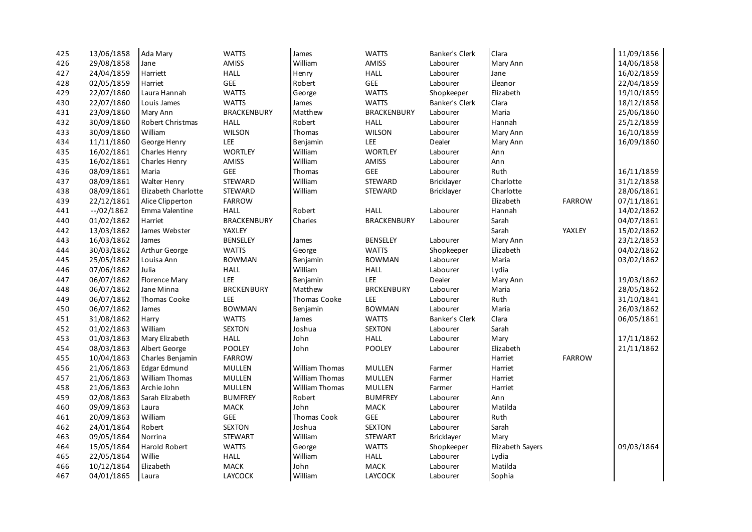| 425 | 13/06/1858   | Ada Mary             | <b>WATTS</b>       | James                 | <b>WATTS</b>       | Banker's Clerk | Clara            |               | 11/09/1856 |
|-----|--------------|----------------------|--------------------|-----------------------|--------------------|----------------|------------------|---------------|------------|
| 426 | 29/08/1858   | Jane                 | <b>AMISS</b>       | William               | AMISS              | Labourer       | Mary Ann         |               | 14/06/1858 |
| 427 | 24/04/1859   | Harriett             | <b>HALL</b>        | Henry                 | <b>HALL</b>        | Labourer       | Jane             |               | 16/02/1859 |
| 428 | 02/05/1859   | Harriet              | <b>GEE</b>         | Robert                | GEE                | Labourer       | Eleanor          |               | 22/04/1859 |
| 429 | 22/07/1860   | Laura Hannah         | <b>WATTS</b>       | George                | <b>WATTS</b>       | Shopkeeper     | Elizabeth        |               | 19/10/1859 |
| 430 | 22/07/1860   | Louis James          | <b>WATTS</b>       | James                 | <b>WATTS</b>       | Banker's Clerk | Clara            |               | 18/12/1858 |
| 431 | 23/09/1860   | Mary Ann             | BRACKENBURY        | Matthew               | <b>BRACKENBURY</b> | Labourer       | Maria            |               | 25/06/1860 |
| 432 | 30/09/1860   | Robert Christmas     | <b>HALL</b>        | Robert                | <b>HALL</b>        | Labourer       | Hannah           |               | 25/12/1859 |
| 433 | 30/09/1860   | William              | <b>WILSON</b>      | Thomas                | <b>WILSON</b>      | Labourer       | Mary Ann         |               | 16/10/1859 |
| 434 | 11/11/1860   | George Henry         | <b>LEE</b>         | Benjamin              | LEE                | Dealer         | Mary Ann         |               | 16/09/1860 |
| 435 | 16/02/1861   | Charles Henry        | WORTLEY            | William               | <b>WORTLEY</b>     | Labourer       | Ann              |               |            |
| 435 | 16/02/1861   | Charles Henry        | AMISS              | William               | AMISS              | Labourer       | Ann              |               |            |
| 436 | 08/09/1861   | Maria                | <b>GEE</b>         | Thomas                | <b>GEE</b>         | Labourer       | Ruth             |               | 16/11/1859 |
| 437 | 08/09/1861   | Walter Henry         | STEWARD            | William               | STEWARD            | Bricklayer     | Charlotte        |               | 31/12/1858 |
| 438 | 08/09/1861   | Elizabeth Charlotte  | STEWARD            | William               | STEWARD            | Bricklayer     | Charlotte        |               | 28/06/1861 |
| 439 | 22/12/1861   | Alice Clipperton     | <b>FARROW</b>      |                       |                    |                | Elizabeth        | <b>FARROW</b> | 07/11/1861 |
| 441 | $-$ /02/1862 | Emma Valentine       | <b>HALL</b>        | Robert                | <b>HALL</b>        | Labourer       | Hannah           |               | 14/02/1862 |
| 440 | 01/02/1862   | Harriet              | <b>BRACKENBURY</b> | Charles               | <b>BRACKENBURY</b> | Labourer       | Sarah            |               | 04/07/1861 |
| 442 | 13/03/1862   | James Webster        | YAXLEY             |                       |                    |                | Sarah            | YAXLEY        | 15/02/1862 |
| 443 | 16/03/1862   | James                | <b>BENSELEY</b>    | James                 | <b>BENSELEY</b>    | Labourer       | Mary Ann         |               | 23/12/1853 |
| 444 | 30/03/1862   | Arthur George        | <b>WATTS</b>       | George                | <b>WATTS</b>       | Shopkeeper     | Elizabeth        |               | 04/02/1862 |
| 445 | 25/05/1862   | Louisa Ann           | <b>BOWMAN</b>      | Benjamin              | <b>BOWMAN</b>      | Labourer       | Maria            |               | 03/02/1862 |
| 446 | 07/06/1862   | Julia                | <b>HALL</b>        | William               | <b>HALL</b>        | Labourer       | Lydia            |               |            |
| 447 | 06/07/1862   | <b>Florence Mary</b> | LEE                | Benjamin              | LEE                | Dealer         | Mary Ann         |               | 19/03/1862 |
| 448 | 06/07/1862   | Jane Minna           | <b>BRCKENBURY</b>  | Matthew               | <b>BRCKENBURY</b>  | Labourer       | Maria            |               | 28/05/1862 |
| 449 | 06/07/1862   | Thomas Cooke         | <b>LEE</b>         | Thomas Cooke          | LEE                | Labourer       | Ruth             |               | 31/10/1841 |
| 450 | 06/07/1862   | James                | <b>BOWMAN</b>      | Benjamin              | <b>BOWMAN</b>      | Labourer       | Maria            |               | 26/03/1862 |
| 451 | 31/08/1862   | Harry                | <b>WATTS</b>       | James                 | <b>WATTS</b>       | Banker's Clerk | Clara            |               | 06/05/1861 |
| 452 | 01/02/1863   | William              | <b>SEXTON</b>      | Joshua                | <b>SEXTON</b>      | Labourer       | Sarah            |               |            |
| 453 | 01/03/1863   | Mary Elizabeth       | <b>HALL</b>        | John                  | <b>HALL</b>        | Labourer       | Mary             |               | 17/11/1862 |
| 454 | 08/03/1863   | Albert George        | POOLEY             | John                  | POOLEY             | Labourer       | Elizabeth        |               | 21/11/1862 |
| 455 | 10/04/1863   | Charles Benjamin     | <b>FARROW</b>      |                       |                    |                | Harriet          | <b>FARROW</b> |            |
| 456 | 21/06/1863   | Edgar Edmund         | MULLEN             | <b>William Thomas</b> | MULLEN             | Farmer         | Harriet          |               |            |
| 457 | 21/06/1863   | William Thomas       | MULLEN             | William Thomas        | MULLEN             | Farmer         | Harriet          |               |            |
| 458 | 21/06/1863   | Archie John          | MULLEN             | William Thomas        | MULLEN             | Farmer         | Harriet          |               |            |
| 459 | 02/08/1863   | Sarah Elizabeth      | <b>BUMFREY</b>     | Robert                | <b>BUMFREY</b>     | Labourer       | Ann              |               |            |
| 460 | 09/09/1863   | Laura                | MACK               | John                  | MACK               | Labourer       | Matilda          |               |            |
| 461 | 20/09/1863   | William              | GEE                | Thomas Cook           | GEE                | Labourer       | Ruth             |               |            |
| 462 | 24/01/1864   | Robert               | <b>SEXTON</b>      | Joshua                | <b>SEXTON</b>      | Labourer       | Sarah            |               |            |
| 463 | 09/05/1864   | Norrina              | <b>STEWART</b>     | William               | <b>STEWART</b>     | Bricklayer     | Mary             |               |            |
| 464 | 15/05/1864   | Harold Robert        | <b>WATTS</b>       | George                | <b>WATTS</b>       | Shopkeeper     | Elizabeth Sayers |               | 09/03/1864 |
| 465 | 22/05/1864   | Willie               | <b>HALL</b>        | William               | <b>HALL</b>        | Labourer       | Lydia            |               |            |
| 466 | 10/12/1864   | Elizabeth            | <b>MACK</b>        | John                  | MACK               | Labourer       | Matilda          |               |            |
| 467 | 04/01/1865   | Laura                | <b>LAYCOCK</b>     | William               | <b>LAYCOCK</b>     | Labourer       | Sophia           |               |            |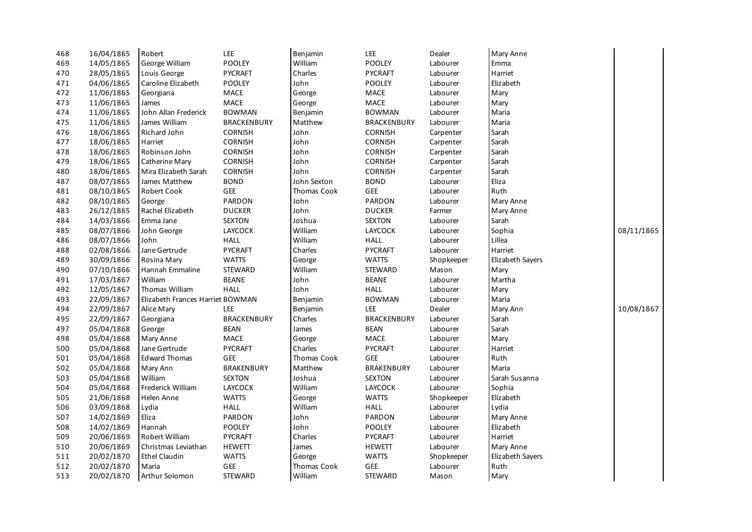| 468 | 16/04/1865 | Robert                           | <b>LEE</b>         | Benjamin    | LEE                | Dealer     | Mary Anne        |            |
|-----|------------|----------------------------------|--------------------|-------------|--------------------|------------|------------------|------------|
| 469 | 14/05/1865 | George William                   | POOLEY             | William     | POOLEY             | Labourer   | Emma             |            |
| 470 | 28/05/1865 | Louis George                     | PYCRAFT            | Charles     | PYCRAFT            | Labourer   | Harriet          |            |
| 471 | 04/06/1865 | Caroline Elizabeth               | POOLEY             | John        | POOLEY             | Labourer   | Elizabeth        |            |
| 472 | 11/06/1865 | Georgiana                        | MACE               | George      | MACE               | Labourer   | Mary             |            |
| 473 | 11/06/1865 | James                            | <b>MACE</b>        | George      | MACE               | Labourer   | Mary             |            |
| 474 | 11/06/1865 | John Allan Frederick             | <b>BOWMAN</b>      | Benjamin    | <b>BOWMAN</b>      | Labourer   | Maria            |            |
| 475 | 11/06/1865 | James William                    | <b>BRACKENBURY</b> | Matthew     | <b>BRACKENBURY</b> | Labourer   | Maria            |            |
| 476 | 18/06/1865 | Richard John                     | <b>CORNISH</b>     | John        | <b>CORNISH</b>     | Carpenter  | Sarah            |            |
| 477 | 18/06/1865 | Harriet                          | <b>CORNISH</b>     | John        | <b>CORNISH</b>     | Carpenter  | Sarah            |            |
| 478 | 18/06/1865 | Robinson John                    | <b>CORNISH</b>     | John        | <b>CORNISH</b>     | Carpenter  | Sarah            |            |
| 479 | 18/06/1865 | Catherine Mary                   | CORNISH            | John        | CORNISH            | Carpenter  | Sarah            |            |
| 480 | 18/06/1865 | Mira Elizabeth Sarah             | CORNISH            | John        | CORNISH            | Carpenter  | Sarah            |            |
| 487 | 08/07/1865 | James Matthew                    | <b>BOND</b>        | John Sexton | <b>BOND</b>        | Labourer   | Eliza            |            |
| 481 | 08/10/1865 | Robert Cook                      | <b>GEE</b>         | Thomas Cook | GEE                | Labourer   | Ruth             |            |
| 482 | 08/10/1865 | George                           | <b>PARDON</b>      | John        | PARDON             | Labourer   | Mary Anne        |            |
| 483 | 26/12/1865 | Rachel Elizabeth                 | <b>DUCKER</b>      | John        | <b>DUCKER</b>      | Farmer     | Mary Anne        |            |
| 484 | 14/03/1866 | Emma Jane                        | <b>SEXTON</b>      | Joshua      | <b>SEXTON</b>      | Labourer   | Sarah            |            |
| 485 | 08/07/1866 | John George                      | LAYCOCK            | William     | LAYCOCK            | Labourer   | Sophia           | 08/11/1865 |
| 486 | 08/07/1866 | John                             | <b>HALL</b>        | William     | <b>HALL</b>        | Labourer   | Lillea           |            |
| 488 | 02/08/1866 | Jane Gertrude                    | <b>PYCRAFT</b>     | Charles     | <b>PYCRAFT</b>     | Labourer   | Harriet          |            |
| 489 | 30/09/1866 | Rosina Mary                      | <b>WATTS</b>       | George      | <b>WATTS</b>       | Shopkeeper | Elizabeth Sayers |            |
| 490 | 07/10/1866 | Hannah Emmaline                  | <b>STEWARD</b>     | William     | STEWARD            | Mason      | Mary             |            |
| 491 | 17/03/1867 | William                          | <b>BEANE</b>       | John        | <b>BEANE</b>       | Labourer   | Martha           |            |
| 492 | 12/05/1867 | Thomas William                   | <b>HALL</b>        | John        | <b>HALL</b>        | Labourer   | Mary             |            |
| 493 | 22/09/1867 | Elizabeth Frances Harriet BOWMAN |                    | Benjamin    | <b>BOWMAN</b>      | Labourer   | Maria            |            |
| 494 | 22/09/1867 | Alice Mary                       | <b>LEE</b>         | Benjamin    | LEE                | Dealer     | Mary Ann         | 10/08/1867 |
| 495 | 22/09/1867 | Georgiana                        | <b>BRACKENBURY</b> | Charles     | <b>BRACKENBURY</b> | Labourer   | Sarah            |            |
| 497 | 05/04/1868 | George                           | <b>BEAN</b>        | James       | <b>BEAN</b>        | Labourer   | Sarah            |            |
| 498 | 05/04/1868 | Mary Anne                        | <b>MACE</b>        | George      | MACE               | Labourer   | Mary             |            |
| 500 | 05/04/1868 | Jane Gertrude                    | <b>PYCRAFT</b>     | Charles     | <b>PYCRAFT</b>     | Labourer   | Harriet          |            |
| 501 | 05/04/1868 | <b>Edward Thomas</b>             | <b>GEE</b>         | Thomas Cook | GEE                | Labourer   | Ruth             |            |
| 502 | 05/04/1868 | Mary Ann                         | <b>BRAKENBURY</b>  | Matthew     | <b>BRAKENBURY</b>  | Labourer   | Maria            |            |
| 503 | 05/04/1868 | William                          | <b>SEXTON</b>      | Joshua      | <b>SEXTON</b>      | Labourer   | Sarah Susanna    |            |
| 504 | 05/04/1868 | Frederick William                | LAYCOCK            | William     | <b>LAYCOCK</b>     | Labourer   | Sophia           |            |
| 505 | 21/06/1868 | Helen Anne                       | <b>WATTS</b>       | George      | <b>WATTS</b>       | Shopkeeper | Elizabeth        |            |
| 506 | 03/09/1868 | Lydia                            | <b>HALL</b>        | William     | <b>HALL</b>        | Labourer   | Lydia            |            |
| 507 | 14/02/1869 | Eliza                            | PARDON             | John        | PARDON             | Labourer   | Mary Anne        |            |
| 508 | 14/02/1869 | Hannah                           | POOLEY             | John        | POOLEY             | Labourer   | Elizabeth        |            |
| 509 | 20/06/1869 | Robert William                   | PYCRAFT            | Charles     | <b>PYCRAFT</b>     | Labourer   | Harriet          |            |
| 510 | 20/06/1869 | Christmas Leviathan              | <b>HEWETT</b>      | James       | <b>HEWETT</b>      | Labourer   | Mary Anne        |            |
| 511 | 20/02/1870 | <b>Ethel Claudin</b>             | <b>WATTS</b>       | George      | <b>WATTS</b>       | Shopkeeper | Elizabeth Sayers |            |
| 512 | 20/02/1870 | Maria                            | <b>GEE</b>         | Thomas Cook | <b>GEE</b>         | Labourer   | Ruth             |            |
| 513 | 20/02/1870 | Arthur Solomon                   | <b>STEWARD</b>     | William     | <b>STEWARD</b>     | Mason      | Mary             |            |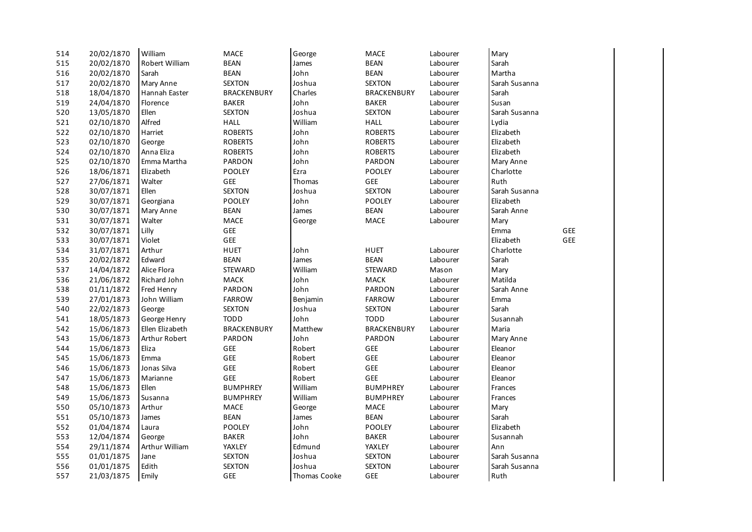| 514 | 20/02/1870 | William         | MACE               | George       | MACE               | Labourer | Mary          |            |  |
|-----|------------|-----------------|--------------------|--------------|--------------------|----------|---------------|------------|--|
| 515 | 20/02/1870 | Robert William  | <b>BEAN</b>        | James        | <b>BEAN</b>        | Labourer | Sarah         |            |  |
| 516 | 20/02/1870 | Sarah           | <b>BEAN</b>        | John         | <b>BEAN</b>        | Labourer | Martha        |            |  |
| 517 | 20/02/1870 | Mary Anne       | <b>SEXTON</b>      | Joshua       | <b>SEXTON</b>      | Labourer | Sarah Susanna |            |  |
| 518 | 18/04/1870 | Hannah Easter   | <b>BRACKENBURY</b> | Charles      | <b>BRACKENBURY</b> | Labourer | Sarah         |            |  |
| 519 | 24/04/1870 | Florence        | <b>BAKER</b>       | John         | <b>BAKER</b>       | Labourer | Susan         |            |  |
| 520 | 13/05/1870 | Ellen           | <b>SEXTON</b>      | Joshua       | <b>SEXTON</b>      | Labourer | Sarah Susanna |            |  |
| 521 | 02/10/1870 | Alfred          | <b>HALL</b>        | William      | <b>HALL</b>        | Labourer | Lydia         |            |  |
| 522 | 02/10/1870 | Harriet         | <b>ROBERTS</b>     | John         | <b>ROBERTS</b>     | Labourer | Elizabeth     |            |  |
| 523 | 02/10/1870 | George          | <b>ROBERTS</b>     | John         | <b>ROBERTS</b>     | Labourer | Elizabeth     |            |  |
| 524 | 02/10/1870 | Anna Eliza      | <b>ROBERTS</b>     | John         | <b>ROBERTS</b>     | Labourer | Elizabeth     |            |  |
| 525 | 02/10/1870 | Emma Martha     | <b>PARDON</b>      | John         | <b>PARDON</b>      | Labourer | Mary Anne     |            |  |
| 526 | 18/06/1871 | Elizabeth       | <b>POOLEY</b>      | Ezra         | <b>POOLEY</b>      | Labourer | Charlotte     |            |  |
| 527 | 27/06/1871 | Walter          | GEE                | Thomas       | GEE                | Labourer | Ruth          |            |  |
| 528 | 30/07/1871 | Ellen           | <b>SEXTON</b>      | Joshua       | <b>SEXTON</b>      | Labourer | Sarah Susanna |            |  |
| 529 | 30/07/1871 | Georgiana       | <b>POOLEY</b>      | John         | <b>POOLEY</b>      | Labourer | Elizabeth     |            |  |
| 530 | 30/07/1871 | Mary Anne       | <b>BEAN</b>        | James        | <b>BEAN</b>        | Labourer | Sarah Anne    |            |  |
| 531 | 30/07/1871 | Walter          | MACE               | George       | MACE               | Labourer | Mary          |            |  |
| 532 | 30/07/1871 | Lilly           | GEE                |              |                    |          | Emma          | <b>GEE</b> |  |
| 533 | 30/07/1871 | Violet          | GEE                |              |                    |          | Elizabeth     | GEE        |  |
| 534 | 31/07/1871 | Arthur          | <b>HUET</b>        | John         | <b>HUET</b>        | Labourer | Charlotte     |            |  |
| 535 | 20/02/1872 | Edward          | <b>BEAN</b>        | James        | <b>BEAN</b>        | Labourer | Sarah         |            |  |
| 537 | 14/04/1872 | Alice Flora     | <b>STEWARD</b>     | William      | <b>STEWARD</b>     | Mason    | Mary          |            |  |
| 536 | 21/06/1872 | Richard John    | MACK               | John         | <b>MACK</b>        | Labourer | Matilda       |            |  |
| 538 | 01/11/1872 | Fred Henry      | PARDON             | John         | PARDON             | Labourer | Sarah Anne    |            |  |
| 539 | 27/01/1873 | John William    | <b>FARROW</b>      | Benjamin     | <b>FARROW</b>      | Labourer | Emma          |            |  |
| 540 | 22/02/1873 | George          | <b>SEXTON</b>      | Joshua       | <b>SEXTON</b>      | Labourer | Sarah         |            |  |
| 541 | 18/05/1873 | George Henry    | <b>TODD</b>        | John         | <b>TODD</b>        | Labourer | Susannah      |            |  |
| 542 | 15/06/1873 | Ellen Elizabeth | <b>BRACKENBURY</b> | Matthew      | <b>BRACKENBURY</b> | Labourer | Maria         |            |  |
| 543 | 15/06/1873 | Arthur Robert   | PARDON             | John         | PARDON             | Labourer | Mary Anne     |            |  |
| 544 | 15/06/1873 | Eliza           | GEE                | Robert       | GEE                | Labourer | Eleanor       |            |  |
| 545 | 15/06/1873 | Emma            | <b>GEE</b>         | Robert       | GEE                | Labourer | Eleanor       |            |  |
| 546 | 15/06/1873 | Jonas Silva     | GEE                | Robert       | GEE                | Labourer | Eleanor       |            |  |
| 547 | 15/06/1873 | Marianne        | <b>GEE</b>         | Robert       | GEE                | Labourer | Eleanor       |            |  |
| 548 | 15/06/1873 | Ellen           | <b>BUMPHREY</b>    | William      | <b>BUMPHREY</b>    | Labourer | Frances       |            |  |
| 549 | 15/06/1873 | Susanna         | <b>BUMPHREY</b>    | William      | <b>BUMPHREY</b>    | Labourer | Frances       |            |  |
| 550 | 05/10/1873 | Arthur          | MACE               | George       | MACE               | Labourer | Mary          |            |  |
| 551 | 05/10/1873 | James           | <b>BEAN</b>        | James        | <b>BEAN</b>        | Labourer | Sarah         |            |  |
| 552 | 01/04/1874 | Laura           | POOLEY             | John         | <b>POOLEY</b>      | Labourer | Elizabeth     |            |  |
| 553 | 12/04/1874 | George          | <b>BAKER</b>       | John         | <b>BAKER</b>       | Labourer | Susannah      |            |  |
| 554 | 29/11/1874 | Arthur William  | YAXLEY             | Edmund       | YAXLEY             | Labourer | Ann           |            |  |
| 555 | 01/01/1875 | Jane            | <b>SEXTON</b>      | Joshua       | <b>SEXTON</b>      | Labourer | Sarah Susanna |            |  |
| 556 | 01/01/1875 | Edith           | <b>SEXTON</b>      | Joshua       | <b>SEXTON</b>      | Labourer | Sarah Susanna |            |  |
| 557 | 21/03/1875 | Emily           | <b>GEE</b>         | Thomas Cooke | <b>GEE</b>         | Labourer | Ruth          |            |  |